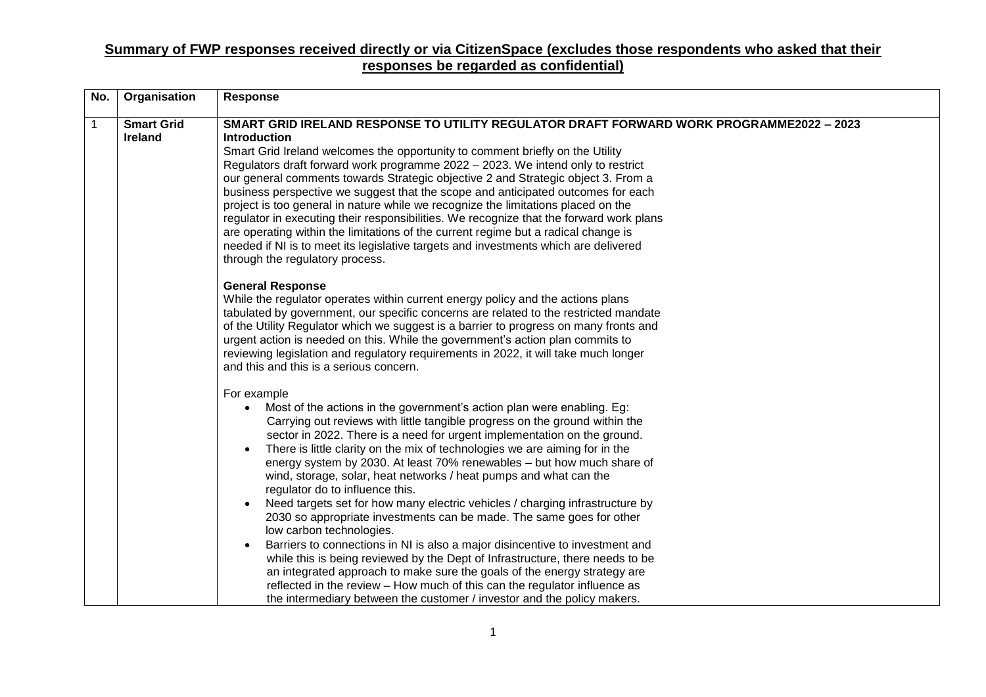| No.          | Organisation                        | <b>Response</b>                                                                                                                                                                                                                                                                                                                                                                                                                                                                                                                                                                                                                                                                                                                                                                                                                                                                                                                                                                                                                                                                                            |
|--------------|-------------------------------------|------------------------------------------------------------------------------------------------------------------------------------------------------------------------------------------------------------------------------------------------------------------------------------------------------------------------------------------------------------------------------------------------------------------------------------------------------------------------------------------------------------------------------------------------------------------------------------------------------------------------------------------------------------------------------------------------------------------------------------------------------------------------------------------------------------------------------------------------------------------------------------------------------------------------------------------------------------------------------------------------------------------------------------------------------------------------------------------------------------|
| $\mathbf{1}$ | <b>Smart Grid</b><br><b>Ireland</b> | SMART GRID IRELAND RESPONSE TO UTILITY REGULATOR DRAFT FORWARD WORK PROGRAMME2022 - 2023<br><b>Introduction</b><br>Smart Grid Ireland welcomes the opportunity to comment briefly on the Utility<br>Regulators draft forward work programme 2022 - 2023. We intend only to restrict<br>our general comments towards Strategic objective 2 and Strategic object 3. From a<br>business perspective we suggest that the scope and anticipated outcomes for each<br>project is too general in nature while we recognize the limitations placed on the<br>regulator in executing their responsibilities. We recognize that the forward work plans<br>are operating within the limitations of the current regime but a radical change is<br>needed if NI is to meet its legislative targets and investments which are delivered<br>through the regulatory process.                                                                                                                                                                                                                                               |
|              |                                     | <b>General Response</b><br>While the regulator operates within current energy policy and the actions plans<br>tabulated by government, our specific concerns are related to the restricted mandate<br>of the Utility Regulator which we suggest is a barrier to progress on many fronts and<br>urgent action is needed on this. While the government's action plan commits to<br>reviewing legislation and regulatory requirements in 2022, it will take much longer<br>and this and this is a serious concern.                                                                                                                                                                                                                                                                                                                                                                                                                                                                                                                                                                                            |
|              |                                     | For example<br>Most of the actions in the government's action plan were enabling. Eg:<br>Carrying out reviews with little tangible progress on the ground within the<br>sector in 2022. There is a need for urgent implementation on the ground.<br>There is little clarity on the mix of technologies we are aiming for in the<br>energy system by 2030. At least 70% renewables - but how much share of<br>wind, storage, solar, heat networks / heat pumps and what can the<br>regulator do to influence this.<br>Need targets set for how many electric vehicles / charging infrastructure by<br>2030 so appropriate investments can be made. The same goes for other<br>low carbon technologies.<br>Barriers to connections in NI is also a major disincentive to investment and<br>while this is being reviewed by the Dept of Infrastructure, there needs to be<br>an integrated approach to make sure the goals of the energy strategy are<br>reflected in the review - How much of this can the regulator influence as<br>the intermediary between the customer / investor and the policy makers. |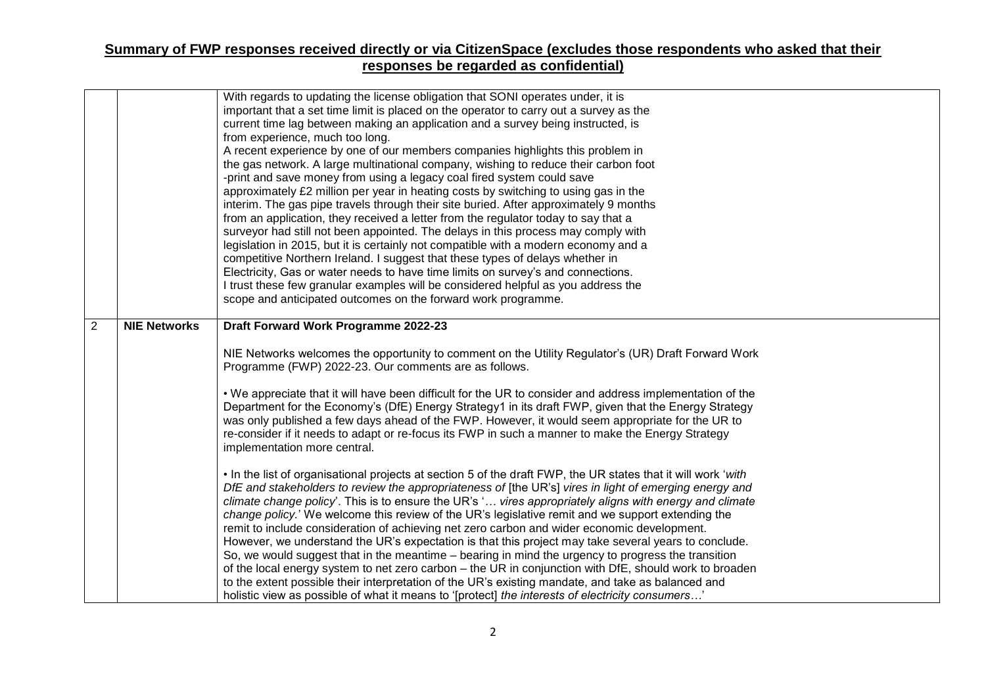|                |                     | With regards to updating the license obligation that SONI operates under, it is                                                                                                                              |
|----------------|---------------------|--------------------------------------------------------------------------------------------------------------------------------------------------------------------------------------------------------------|
|                |                     | important that a set time limit is placed on the operator to carry out a survey as the                                                                                                                       |
|                |                     | current time lag between making an application and a survey being instructed, is                                                                                                                             |
|                |                     | from experience, much too long.                                                                                                                                                                              |
|                |                     | A recent experience by one of our members companies highlights this problem in                                                                                                                               |
|                |                     | the gas network. A large multinational company, wishing to reduce their carbon foot                                                                                                                          |
|                |                     | -print and save money from using a legacy coal fired system could save                                                                                                                                       |
|                |                     | approximately £2 million per year in heating costs by switching to using gas in the                                                                                                                          |
|                |                     | interim. The gas pipe travels through their site buried. After approximately 9 months                                                                                                                        |
|                |                     | from an application, they received a letter from the regulator today to say that a                                                                                                                           |
|                |                     | surveyor had still not been appointed. The delays in this process may comply with                                                                                                                            |
|                |                     | legislation in 2015, but it is certainly not compatible with a modern economy and a                                                                                                                          |
|                |                     | competitive Northern Ireland. I suggest that these types of delays whether in                                                                                                                                |
|                |                     | Electricity, Gas or water needs to have time limits on survey's and connections.                                                                                                                             |
|                |                     | I trust these few granular examples will be considered helpful as you address the<br>scope and anticipated outcomes on the forward work programme.                                                           |
|                |                     |                                                                                                                                                                                                              |
| $\overline{2}$ | <b>NIE Networks</b> | Draft Forward Work Programme 2022-23                                                                                                                                                                         |
|                |                     |                                                                                                                                                                                                              |
|                |                     | NIE Networks welcomes the opportunity to comment on the Utility Regulator's (UR) Draft Forward Work                                                                                                          |
|                |                     | Programme (FWP) 2022-23. Our comments are as follows.                                                                                                                                                        |
|                |                     |                                                                                                                                                                                                              |
|                |                     | . We appreciate that it will have been difficult for the UR to consider and address implementation of the                                                                                                    |
|                |                     | Department for the Economy's (DfE) Energy Strategy1 in its draft FWP, given that the Energy Strategy                                                                                                         |
|                |                     | was only published a few days ahead of the FWP. However, it would seem appropriate for the UR to                                                                                                             |
|                |                     | re-consider if it needs to adapt or re-focus its FWP in such a manner to make the Energy Strategy                                                                                                            |
|                |                     | implementation more central.                                                                                                                                                                                 |
|                |                     |                                                                                                                                                                                                              |
|                |                     | • In the list of organisational projects at section 5 of the draft FWP, the UR states that it will work 'with                                                                                                |
|                |                     | DfE and stakeholders to review the appropriateness of [the UR's] vires in light of emerging energy and                                                                                                       |
|                |                     | climate change policy'. This is to ensure the UR's ' vires appropriately aligns with energy and climate                                                                                                      |
|                |                     | change policy.' We welcome this review of the UR's legislative remit and we support extending the                                                                                                            |
|                |                     | remit to include consideration of achieving net zero carbon and wider economic development.                                                                                                                  |
|                |                     | However, we understand the UR's expectation is that this project may take several years to conclude.                                                                                                         |
|                |                     | So, we would suggest that in the meantime - bearing in mind the urgency to progress the transition                                                                                                           |
|                |                     | of the local energy system to net zero carbon - the UR in conjunction with DfE, should work to broaden<br>to the extent possible their interpretation of the UR's existing mandate, and take as balanced and |
|                |                     | holistic view as possible of what it means to '[protect] the interests of electricity consumers'                                                                                                             |
|                |                     |                                                                                                                                                                                                              |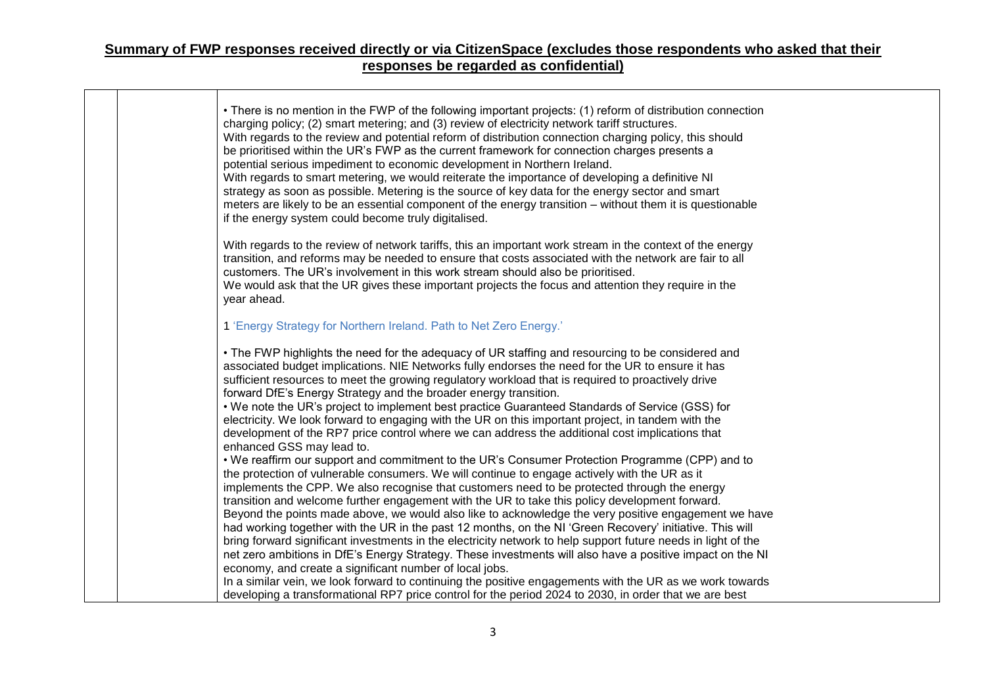$\Gamma$ 

|  | • There is no mention in the FWP of the following important projects: (1) reform of distribution connection<br>charging policy; (2) smart metering; and (3) review of electricity network tariff structures.<br>With regards to the review and potential reform of distribution connection charging policy, this should<br>be prioritised within the UR's FWP as the current framework for connection charges presents a<br>potential serious impediment to economic development in Northern Ireland.<br>With regards to smart metering, we would reiterate the importance of developing a definitive NI<br>strategy as soon as possible. Metering is the source of key data for the energy sector and smart<br>meters are likely to be an essential component of the energy transition - without them it is questionable<br>if the energy system could become truly digitalised. |
|--|-----------------------------------------------------------------------------------------------------------------------------------------------------------------------------------------------------------------------------------------------------------------------------------------------------------------------------------------------------------------------------------------------------------------------------------------------------------------------------------------------------------------------------------------------------------------------------------------------------------------------------------------------------------------------------------------------------------------------------------------------------------------------------------------------------------------------------------------------------------------------------------|
|  | With regards to the review of network tariffs, this an important work stream in the context of the energy<br>transition, and reforms may be needed to ensure that costs associated with the network are fair to all<br>customers. The UR's involvement in this work stream should also be prioritised.<br>We would ask that the UR gives these important projects the focus and attention they require in the<br>year ahead.                                                                                                                                                                                                                                                                                                                                                                                                                                                      |
|  | 1 'Energy Strategy for Northern Ireland. Path to Net Zero Energy.'                                                                                                                                                                                                                                                                                                                                                                                                                                                                                                                                                                                                                                                                                                                                                                                                                |
|  | • The FWP highlights the need for the adequacy of UR staffing and resourcing to be considered and<br>associated budget implications. NIE Networks fully endorses the need for the UR to ensure it has<br>sufficient resources to meet the growing regulatory workload that is required to proactively drive<br>forward DfE's Energy Strategy and the broader energy transition.<br>. We note the UR's project to implement best practice Guaranteed Standards of Service (GSS) for<br>electricity. We look forward to engaging with the UR on this important project, in tandem with the<br>development of the RP7 price control where we can address the additional cost implications that                                                                                                                                                                                       |
|  | enhanced GSS may lead to.<br>. We reaffirm our support and commitment to the UR's Consumer Protection Programme (CPP) and to<br>the protection of vulnerable consumers. We will continue to engage actively with the UR as it<br>implements the CPP. We also recognise that customers need to be protected through the energy<br>transition and welcome further engagement with the UR to take this policy development forward.<br>Beyond the points made above, we would also like to acknowledge the very positive engagement we have<br>had working together with the UR in the past 12 months, on the NI 'Green Recovery' initiative. This will<br>bring forward significant investments in the electricity network to help support future needs in light of the                                                                                                              |
|  | net zero ambitions in DfE's Energy Strategy. These investments will also have a positive impact on the NI<br>economy, and create a significant number of local jobs.<br>In a similar vein, we look forward to continuing the positive engagements with the UR as we work towards<br>developing a transformational RP7 price control for the period 2024 to 2030, in order that we are best                                                                                                                                                                                                                                                                                                                                                                                                                                                                                        |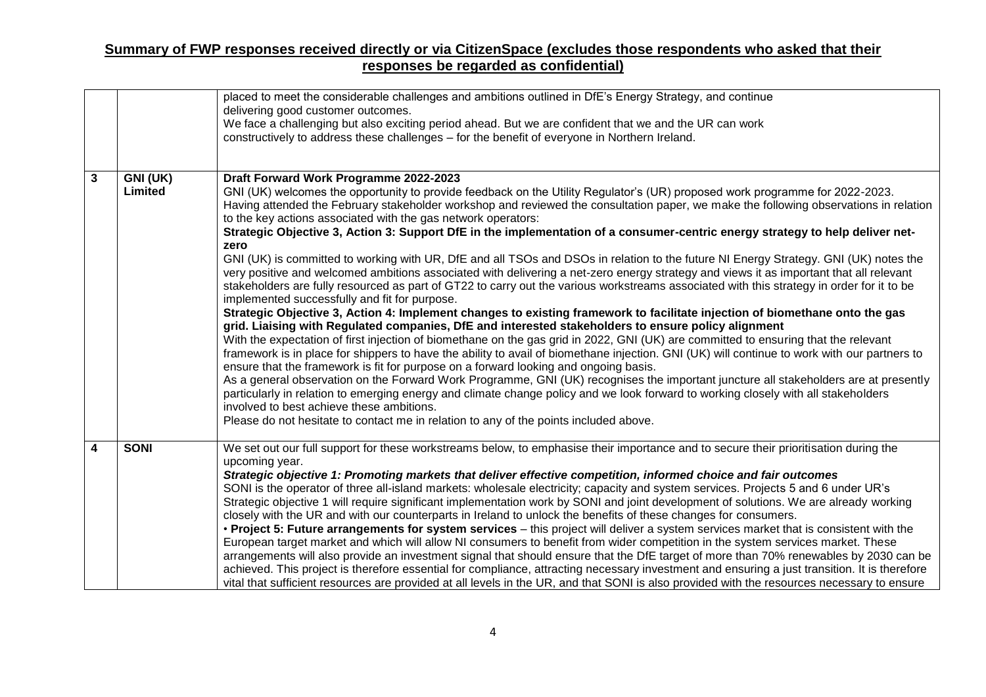|                         |                     | placed to meet the considerable challenges and ambitions outlined in DfE's Energy Strategy, and continue<br>delivering good customer outcomes.<br>We face a challenging but also exciting period ahead. But we are confident that we and the UR can work<br>constructively to address these challenges - for the benefit of everyone in Northern Ireland.                                                                                                                                                                                                                                                                                                                                                                                                                                                                                                                                                                                                                                                                                                                                                                                                                                                                                                                                                                                                                                                                                                                                                                                                                                                                                                                                                                                                                                                                                                                                                                                                                                                                                          |
|-------------------------|---------------------|----------------------------------------------------------------------------------------------------------------------------------------------------------------------------------------------------------------------------------------------------------------------------------------------------------------------------------------------------------------------------------------------------------------------------------------------------------------------------------------------------------------------------------------------------------------------------------------------------------------------------------------------------------------------------------------------------------------------------------------------------------------------------------------------------------------------------------------------------------------------------------------------------------------------------------------------------------------------------------------------------------------------------------------------------------------------------------------------------------------------------------------------------------------------------------------------------------------------------------------------------------------------------------------------------------------------------------------------------------------------------------------------------------------------------------------------------------------------------------------------------------------------------------------------------------------------------------------------------------------------------------------------------------------------------------------------------------------------------------------------------------------------------------------------------------------------------------------------------------------------------------------------------------------------------------------------------------------------------------------------------------------------------------------------------|
| $\overline{\mathbf{3}}$ | GNI (UK)<br>Limited | Draft Forward Work Programme 2022-2023<br>GNI (UK) welcomes the opportunity to provide feedback on the Utility Regulator's (UR) proposed work programme for 2022-2023.<br>Having attended the February stakeholder workshop and reviewed the consultation paper, we make the following observations in relation<br>to the key actions associated with the gas network operators:<br>Strategic Objective 3, Action 3: Support DfE in the implementation of a consumer-centric energy strategy to help deliver net-<br>zero<br>GNI (UK) is committed to working with UR, DfE and all TSOs and DSOs in relation to the future NI Energy Strategy. GNI (UK) notes the<br>very positive and welcomed ambitions associated with delivering a net-zero energy strategy and views it as important that all relevant<br>stakeholders are fully resourced as part of GT22 to carry out the various workstreams associated with this strategy in order for it to be<br>implemented successfully and fit for purpose.<br>Strategic Objective 3, Action 4: Implement changes to existing framework to facilitate injection of biomethane onto the gas<br>grid. Liaising with Regulated companies, DfE and interested stakeholders to ensure policy alignment<br>With the expectation of first injection of biomethane on the gas grid in 2022, GNI (UK) are committed to ensuring that the relevant<br>framework is in place for shippers to have the ability to avail of biomethane injection. GNI (UK) will continue to work with our partners to<br>ensure that the framework is fit for purpose on a forward looking and ongoing basis.<br>As a general observation on the Forward Work Programme, GNI (UK) recognises the important juncture all stakeholders are at presently<br>particularly in relation to emerging energy and climate change policy and we look forward to working closely with all stakeholders<br>involved to best achieve these ambitions.<br>Please do not hesitate to contact me in relation to any of the points included above. |
| 4                       | <b>SONI</b>         | We set out our full support for these workstreams below, to emphasise their importance and to secure their prioritisation during the<br>upcoming year.<br>Strategic objective 1: Promoting markets that deliver effective competition, informed choice and fair outcomes<br>SONI is the operator of three all-island markets: wholesale electricity; capacity and system services. Projects 5 and 6 under UR's<br>Strategic objective 1 will require significant implementation work by SONI and joint development of solutions. We are already working<br>closely with the UR and with our counterparts in Ireland to unlock the benefits of these changes for consumers.<br>• Project 5: Future arrangements for system services – this project will deliver a system services market that is consistent with the<br>European target market and which will allow NI consumers to benefit from wider competition in the system services market. These<br>arrangements will also provide an investment signal that should ensure that the DfE target of more than 70% renewables by 2030 can be<br>achieved. This project is therefore essential for compliance, attracting necessary investment and ensuring a just transition. It is therefore<br>vital that sufficient resources are provided at all levels in the UR, and that SONI is also provided with the resources necessary to ensure                                                                                                                                                                                                                                                                                                                                                                                                                                                                                                                                                                                                                                                    |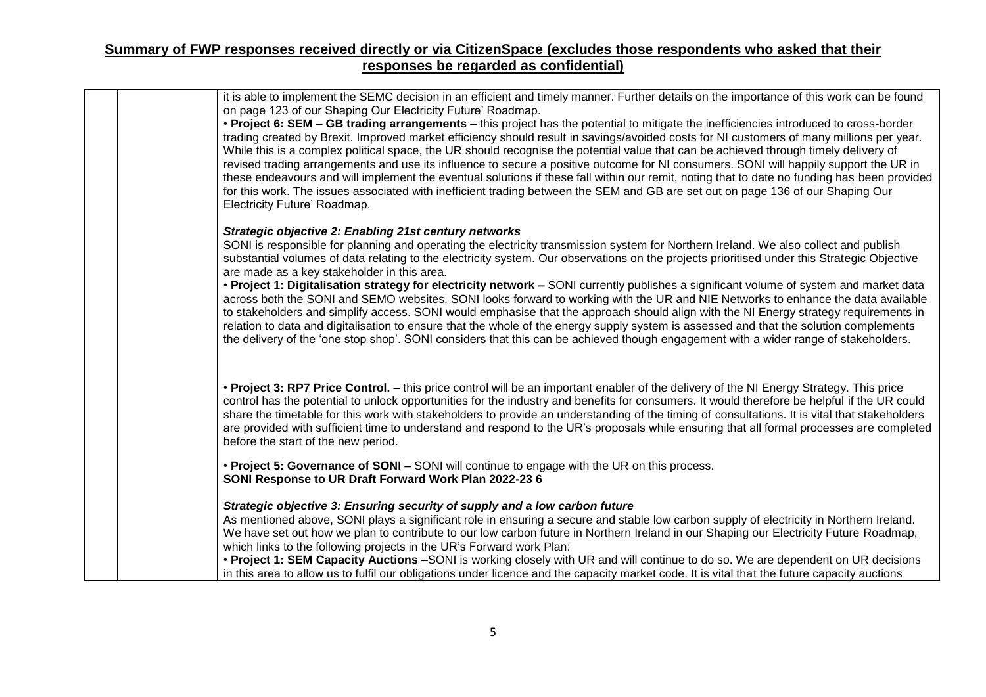| it is able to implement the SEMC decision in an efficient and timely manner. Further details on the importance of this work can be found<br>on page 123 of our Shaping Our Electricity Future' Roadmap.                                                                                                                                                                                                                                                                                                                                                                                                                                                                                                                                                                                                                                                                              |
|--------------------------------------------------------------------------------------------------------------------------------------------------------------------------------------------------------------------------------------------------------------------------------------------------------------------------------------------------------------------------------------------------------------------------------------------------------------------------------------------------------------------------------------------------------------------------------------------------------------------------------------------------------------------------------------------------------------------------------------------------------------------------------------------------------------------------------------------------------------------------------------|
| • Project 6: SEM – GB trading arrangements – this project has the potential to mitigate the inefficiencies introduced to cross-border<br>trading created by Brexit. Improved market efficiency should result in savings/avoided costs for NI customers of many millions per year.<br>While this is a complex political space, the UR should recognise the potential value that can be achieved through timely delivery of<br>revised trading arrangements and use its influence to secure a positive outcome for NI consumers. SONI will happily support the UR in<br>these endeavours and will implement the eventual solutions if these fall within our remit, noting that to date no funding has been provided<br>for this work. The issues associated with inefficient trading between the SEM and GB are set out on page 136 of our Shaping Our<br>Electricity Future' Roadmap. |
|                                                                                                                                                                                                                                                                                                                                                                                                                                                                                                                                                                                                                                                                                                                                                                                                                                                                                      |
| <b>Strategic objective 2: Enabling 21st century networks</b><br>SONI is responsible for planning and operating the electricity transmission system for Northern Ireland. We also collect and publish<br>substantial volumes of data relating to the electricity system. Our observations on the projects prioritised under this Strategic Objective<br>are made as a key stakeholder in this area.                                                                                                                                                                                                                                                                                                                                                                                                                                                                                   |
| • Project 1: Digitalisation strategy for electricity network - SONI currently publishes a significant volume of system and market data<br>across both the SONI and SEMO websites. SONI looks forward to working with the UR and NIE Networks to enhance the data available<br>to stakeholders and simplify access. SONI would emphasise that the approach should align with the NI Energy strategy requirements in<br>relation to data and digitalisation to ensure that the whole of the energy supply system is assessed and that the solution complements<br>the delivery of the 'one stop shop'. SONI considers that this can be achieved though engagement with a wider range of stakeholders.                                                                                                                                                                                  |
| • Project 3: RP7 Price Control. – this price control will be an important enabler of the delivery of the NI Energy Strategy. This price<br>control has the potential to unlock opportunities for the industry and benefits for consumers. It would therefore be helpful if the UR could<br>share the timetable for this work with stakeholders to provide an understanding of the timing of consultations. It is vital that stakeholders<br>are provided with sufficient time to understand and respond to the UR's proposals while ensuring that all formal processes are completed<br>before the start of the new period.                                                                                                                                                                                                                                                          |
| • Project 5: Governance of SONI - SONI will continue to engage with the UR on this process.<br>SONI Response to UR Draft Forward Work Plan 2022-23 6                                                                                                                                                                                                                                                                                                                                                                                                                                                                                                                                                                                                                                                                                                                                 |
| Strategic objective 3: Ensuring security of supply and a low carbon future                                                                                                                                                                                                                                                                                                                                                                                                                                                                                                                                                                                                                                                                                                                                                                                                           |
| As mentioned above, SONI plays a significant role in ensuring a secure and stable low carbon supply of electricity in Northern Ireland.<br>We have set out how we plan to contribute to our low carbon future in Northern Ireland in our Shaping our Electricity Future Roadmap,<br>which links to the following projects in the UR's Forward work Plan:                                                                                                                                                                                                                                                                                                                                                                                                                                                                                                                             |
| • Project 1: SEM Capacity Auctions -SONI is working closely with UR and will continue to do so. We are dependent on UR decisions<br>in this area to allow us to fulfil our obligations under licence and the capacity market code. It is vital that the future capacity auctions                                                                                                                                                                                                                                                                                                                                                                                                                                                                                                                                                                                                     |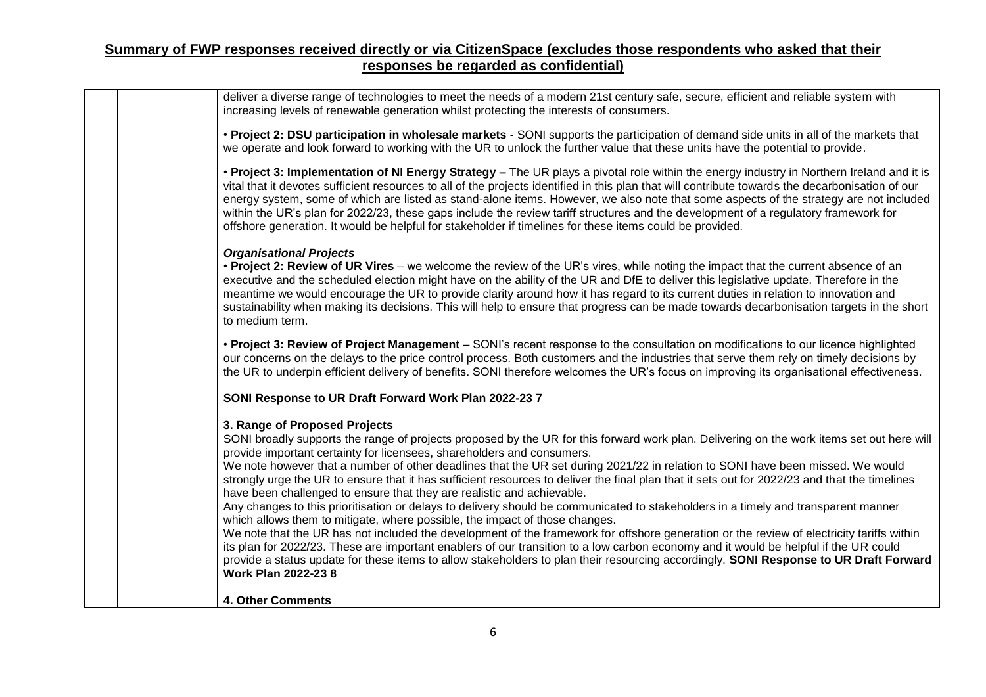| deliver a diverse range of technologies to meet the needs of a modern 21st century safe, secure, efficient and reliable system with<br>increasing levels of renewable generation whilst protecting the interests of consumers.<br>• Project 2: DSU participation in wholesale markets - SONI supports the participation of demand side units in all of the markets that<br>we operate and look forward to working with the UR to unlock the further value that these units have the potential to provide.<br>• Project 3: Implementation of NI Energy Strategy - The UR plays a pivotal role within the energy industry in Northern Ireland and it is<br>vital that it devotes sufficient resources to all of the projects identified in this plan that will contribute towards the decarbonisation of our<br>energy system, some of which are listed as stand-alone items. However, we also note that some aspects of the strategy are not included<br>within the UR's plan for 2022/23, these gaps include the review tariff structures and the development of a regulatory framework for<br>offshore generation. It would be helpful for stakeholder if timelines for these items could be provided.<br><b>Organisational Projects</b><br>• Project 2: Review of UR Vires – we welcome the review of the UR's vires, while noting the impact that the current absence of an<br>executive and the scheduled election might have on the ability of the UR and DfE to deliver this legislative update. Therefore in the<br>meantime we would encourage the UR to provide clarity around how it has regard to its current duties in relation to innovation and<br>sustainability when making its decisions. This will help to ensure that progress can be made towards decarbonisation targets in the short<br>to medium term.<br>• Project 3: Review of Project Management - SONI's recent response to the consultation on modifications to our licence highlighted<br>our concerns on the delays to the price control process. Both customers and the industries that serve them rely on timely decisions by<br>the UR to underpin efficient delivery of benefits. SONI therefore welcomes the UR's focus on improving its organisational effectiveness.<br>SONI Response to UR Draft Forward Work Plan 2022-23 7<br>3. Range of Proposed Projects<br>SONI broadly supports the range of projects proposed by the UR for this forward work plan. Delivering on the work items set out here will<br>provide important certainty for licensees, shareholders and consumers.<br>We note however that a number of other deadlines that the UR set during 2021/22 in relation to SONI have been missed. We would<br>strongly urge the UR to ensure that it has sufficient resources to deliver the final plan that it sets out for 2022/23 and that the timelines<br>have been challenged to ensure that they are realistic and achievable.<br>Any changes to this prioritisation or delays to delivery should be communicated to stakeholders in a timely and transparent manner<br>which allows them to mitigate, where possible, the impact of those changes.<br>We note that the UR has not included the development of the framework for offshore generation or the review of electricity tariffs within<br>its plan for 2022/23. These are important enablers of our transition to a low carbon economy and it would be helpful if the UR could<br>provide a status update for these items to allow stakeholders to plan their resourcing accordingly. SONI Response to UR Draft Forward<br><b>Work Plan 2022-23 8</b><br><b>4. Other Comments</b> |  |
|------------------------------------------------------------------------------------------------------------------------------------------------------------------------------------------------------------------------------------------------------------------------------------------------------------------------------------------------------------------------------------------------------------------------------------------------------------------------------------------------------------------------------------------------------------------------------------------------------------------------------------------------------------------------------------------------------------------------------------------------------------------------------------------------------------------------------------------------------------------------------------------------------------------------------------------------------------------------------------------------------------------------------------------------------------------------------------------------------------------------------------------------------------------------------------------------------------------------------------------------------------------------------------------------------------------------------------------------------------------------------------------------------------------------------------------------------------------------------------------------------------------------------------------------------------------------------------------------------------------------------------------------------------------------------------------------------------------------------------------------------------------------------------------------------------------------------------------------------------------------------------------------------------------------------------------------------------------------------------------------------------------------------------------------------------------------------------------------------------------------------------------------------------------------------------------------------------------------------------------------------------------------------------------------------------------------------------------------------------------------------------------------------------------------------------------------------------------------------------------------------------------------------------------------------------------------------------------------------------------------------------------------------------------------------------------------------------------------------------------------------------------------------------------------------------------------------------------------------------------------------------------------------------------------------------------------------------------------------------------------------------------------------------------------------------------------------------------------------------------------------------------------------------------------------------------------------------------------------------------------------------------------------------------------------------------------------------------------------------------------------------------------------------------------------------------------------------------------------------------------------------------------------------------------------------------------------------------------------------------------------------------------------|--|
|                                                                                                                                                                                                                                                                                                                                                                                                                                                                                                                                                                                                                                                                                                                                                                                                                                                                                                                                                                                                                                                                                                                                                                                                                                                                                                                                                                                                                                                                                                                                                                                                                                                                                                                                                                                                                                                                                                                                                                                                                                                                                                                                                                                                                                                                                                                                                                                                                                                                                                                                                                                                                                                                                                                                                                                                                                                                                                                                                                                                                                                                                                                                                                                                                                                                                                                                                                                                                                                                                                                                                                                                                                                      |  |
|                                                                                                                                                                                                                                                                                                                                                                                                                                                                                                                                                                                                                                                                                                                                                                                                                                                                                                                                                                                                                                                                                                                                                                                                                                                                                                                                                                                                                                                                                                                                                                                                                                                                                                                                                                                                                                                                                                                                                                                                                                                                                                                                                                                                                                                                                                                                                                                                                                                                                                                                                                                                                                                                                                                                                                                                                                                                                                                                                                                                                                                                                                                                                                                                                                                                                                                                                                                                                                                                                                                                                                                                                                                      |  |
|                                                                                                                                                                                                                                                                                                                                                                                                                                                                                                                                                                                                                                                                                                                                                                                                                                                                                                                                                                                                                                                                                                                                                                                                                                                                                                                                                                                                                                                                                                                                                                                                                                                                                                                                                                                                                                                                                                                                                                                                                                                                                                                                                                                                                                                                                                                                                                                                                                                                                                                                                                                                                                                                                                                                                                                                                                                                                                                                                                                                                                                                                                                                                                                                                                                                                                                                                                                                                                                                                                                                                                                                                                                      |  |
|                                                                                                                                                                                                                                                                                                                                                                                                                                                                                                                                                                                                                                                                                                                                                                                                                                                                                                                                                                                                                                                                                                                                                                                                                                                                                                                                                                                                                                                                                                                                                                                                                                                                                                                                                                                                                                                                                                                                                                                                                                                                                                                                                                                                                                                                                                                                                                                                                                                                                                                                                                                                                                                                                                                                                                                                                                                                                                                                                                                                                                                                                                                                                                                                                                                                                                                                                                                                                                                                                                                                                                                                                                                      |  |
|                                                                                                                                                                                                                                                                                                                                                                                                                                                                                                                                                                                                                                                                                                                                                                                                                                                                                                                                                                                                                                                                                                                                                                                                                                                                                                                                                                                                                                                                                                                                                                                                                                                                                                                                                                                                                                                                                                                                                                                                                                                                                                                                                                                                                                                                                                                                                                                                                                                                                                                                                                                                                                                                                                                                                                                                                                                                                                                                                                                                                                                                                                                                                                                                                                                                                                                                                                                                                                                                                                                                                                                                                                                      |  |
|                                                                                                                                                                                                                                                                                                                                                                                                                                                                                                                                                                                                                                                                                                                                                                                                                                                                                                                                                                                                                                                                                                                                                                                                                                                                                                                                                                                                                                                                                                                                                                                                                                                                                                                                                                                                                                                                                                                                                                                                                                                                                                                                                                                                                                                                                                                                                                                                                                                                                                                                                                                                                                                                                                                                                                                                                                                                                                                                                                                                                                                                                                                                                                                                                                                                                                                                                                                                                                                                                                                                                                                                                                                      |  |
|                                                                                                                                                                                                                                                                                                                                                                                                                                                                                                                                                                                                                                                                                                                                                                                                                                                                                                                                                                                                                                                                                                                                                                                                                                                                                                                                                                                                                                                                                                                                                                                                                                                                                                                                                                                                                                                                                                                                                                                                                                                                                                                                                                                                                                                                                                                                                                                                                                                                                                                                                                                                                                                                                                                                                                                                                                                                                                                                                                                                                                                                                                                                                                                                                                                                                                                                                                                                                                                                                                                                                                                                                                                      |  |
|                                                                                                                                                                                                                                                                                                                                                                                                                                                                                                                                                                                                                                                                                                                                                                                                                                                                                                                                                                                                                                                                                                                                                                                                                                                                                                                                                                                                                                                                                                                                                                                                                                                                                                                                                                                                                                                                                                                                                                                                                                                                                                                                                                                                                                                                                                                                                                                                                                                                                                                                                                                                                                                                                                                                                                                                                                                                                                                                                                                                                                                                                                                                                                                                                                                                                                                                                                                                                                                                                                                                                                                                                                                      |  |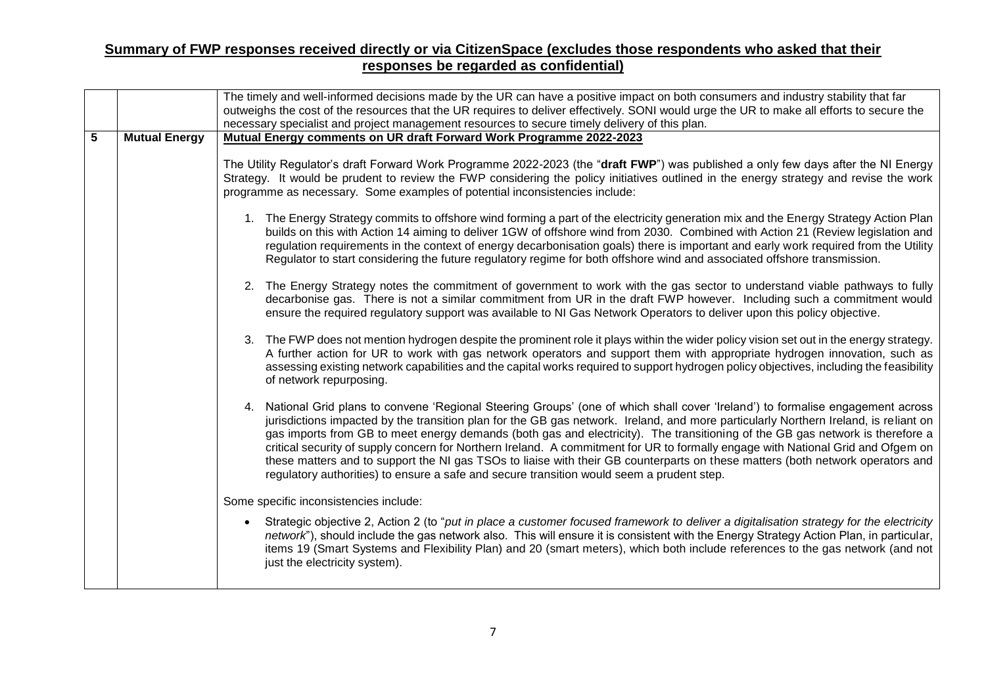|   |                      | The timely and well-informed decisions made by the UR can have a positive impact on both consumers and industry stability that far<br>outweighs the cost of the resources that the UR requires to deliver effectively. SONI would urge the UR to make all efforts to secure the<br>necessary specialist and project management resources to secure timely delivery of this plan.                                                                                                                                                                                                                                                                                                                                                                                             |
|---|----------------------|------------------------------------------------------------------------------------------------------------------------------------------------------------------------------------------------------------------------------------------------------------------------------------------------------------------------------------------------------------------------------------------------------------------------------------------------------------------------------------------------------------------------------------------------------------------------------------------------------------------------------------------------------------------------------------------------------------------------------------------------------------------------------|
| 5 | <b>Mutual Energy</b> | Mutual Energy comments on UR draft Forward Work Programme 2022-2023                                                                                                                                                                                                                                                                                                                                                                                                                                                                                                                                                                                                                                                                                                          |
|   |                      | The Utility Regulator's draft Forward Work Programme 2022-2023 (the "draft FWP") was published a only few days after the NI Energy<br>Strategy. It would be prudent to review the FWP considering the policy initiatives outlined in the energy strategy and revise the work<br>programme as necessary. Some examples of potential inconsistencies include:                                                                                                                                                                                                                                                                                                                                                                                                                  |
|   |                      | 1. The Energy Strategy commits to offshore wind forming a part of the electricity generation mix and the Energy Strategy Action Plan<br>builds on this with Action 14 aiming to deliver 1GW of offshore wind from 2030. Combined with Action 21 (Review legislation and<br>regulation requirements in the context of energy decarbonisation goals) there is important and early work required from the Utility<br>Regulator to start considering the future regulatory regime for both offshore wind and associated offshore transmission.                                                                                                                                                                                                                                   |
|   |                      | 2. The Energy Strategy notes the commitment of government to work with the gas sector to understand viable pathways to fully<br>decarbonise gas. There is not a similar commitment from UR in the draft FWP however. Including such a commitment would<br>ensure the required regulatory support was available to NI Gas Network Operators to deliver upon this policy objective.                                                                                                                                                                                                                                                                                                                                                                                            |
|   |                      | 3. The FWP does not mention hydrogen despite the prominent role it plays within the wider policy vision set out in the energy strategy.<br>A further action for UR to work with gas network operators and support them with appropriate hydrogen innovation, such as<br>assessing existing network capabilities and the capital works required to support hydrogen policy objectives, including the feasibility<br>of network repurposing.                                                                                                                                                                                                                                                                                                                                   |
|   |                      | 4. National Grid plans to convene 'Regional Steering Groups' (one of which shall cover 'Ireland') to formalise engagement across<br>jurisdictions impacted by the transition plan for the GB gas network. Ireland, and more particularly Northern Ireland, is reliant on<br>gas imports from GB to meet energy demands (both gas and electricity). The transitioning of the GB gas network is therefore a<br>critical security of supply concern for Northern Ireland. A commitment for UR to formally engage with National Grid and Ofgem on<br>these matters and to support the NI gas TSOs to liaise with their GB counterparts on these matters (both network operators and<br>regulatory authorities) to ensure a safe and secure transition would seem a prudent step. |
|   |                      | Some specific inconsistencies include:                                                                                                                                                                                                                                                                                                                                                                                                                                                                                                                                                                                                                                                                                                                                       |
|   |                      | Strategic objective 2, Action 2 (to "put in place a customer focused framework to deliver a digitalisation strategy for the electricity<br>$\bullet$<br>network"), should include the gas network also. This will ensure it is consistent with the Energy Strategy Action Plan, in particular,<br>items 19 (Smart Systems and Flexibility Plan) and 20 (smart meters), which both include references to the gas network (and not<br>just the electricity system).                                                                                                                                                                                                                                                                                                            |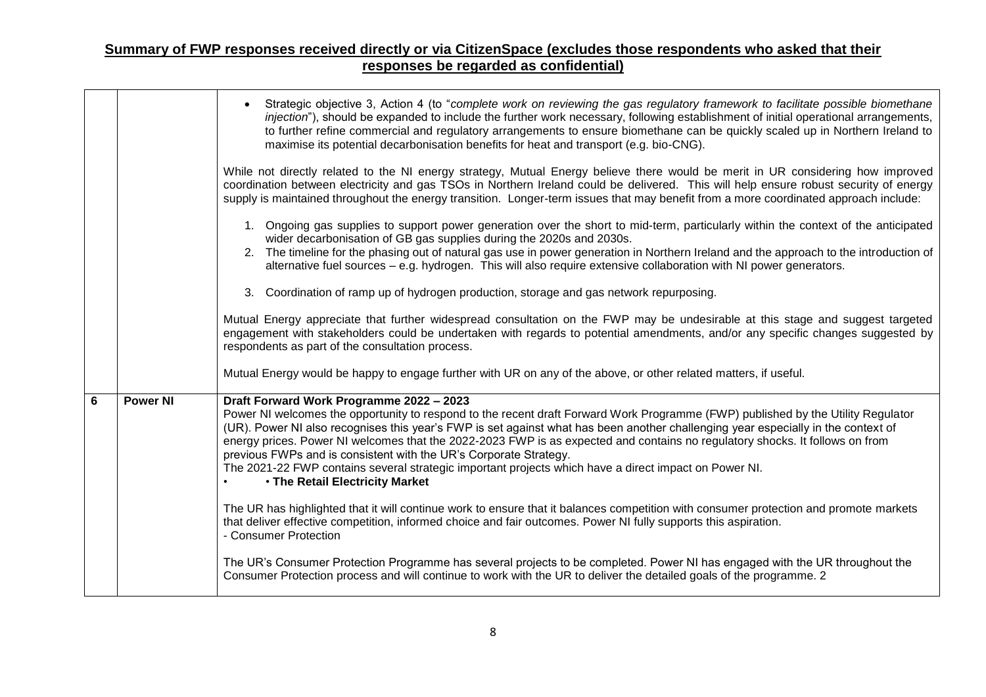|   |                 | Strategic objective 3, Action 4 (to "complete work on reviewing the gas regulatory framework to facilitate possible biomethane<br>injection"), should be expanded to include the further work necessary, following establishment of initial operational arrangements,<br>to further refine commercial and regulatory arrangements to ensure biomethane can be quickly scaled up in Northern Ireland to<br>maximise its potential decarbonisation benefits for heat and transport (e.g. bio-CNG).                                                                                                                                                                   |
|---|-----------------|--------------------------------------------------------------------------------------------------------------------------------------------------------------------------------------------------------------------------------------------------------------------------------------------------------------------------------------------------------------------------------------------------------------------------------------------------------------------------------------------------------------------------------------------------------------------------------------------------------------------------------------------------------------------|
|   |                 | While not directly related to the NI energy strategy, Mutual Energy believe there would be merit in UR considering how improved<br>coordination between electricity and gas TSOs in Northern Ireland could be delivered. This will help ensure robust security of energy<br>supply is maintained throughout the energy transition. Longer-term issues that may benefit from a more coordinated approach include:                                                                                                                                                                                                                                                   |
|   |                 | 1. Ongoing gas supplies to support power generation over the short to mid-term, particularly within the context of the anticipated<br>wider decarbonisation of GB gas supplies during the 2020s and 2030s.<br>2. The timeline for the phasing out of natural gas use in power generation in Northern Ireland and the approach to the introduction of<br>alternative fuel sources - e.g. hydrogen. This will also require extensive collaboration with NI power generators.                                                                                                                                                                                         |
|   |                 | 3. Coordination of ramp up of hydrogen production, storage and gas network repurposing.                                                                                                                                                                                                                                                                                                                                                                                                                                                                                                                                                                            |
|   |                 | Mutual Energy appreciate that further widespread consultation on the FWP may be undesirable at this stage and suggest targeted<br>engagement with stakeholders could be undertaken with regards to potential amendments, and/or any specific changes suggested by<br>respondents as part of the consultation process.                                                                                                                                                                                                                                                                                                                                              |
|   |                 | Mutual Energy would be happy to engage further with UR on any of the above, or other related matters, if useful.                                                                                                                                                                                                                                                                                                                                                                                                                                                                                                                                                   |
| 6 | <b>Power NI</b> | Draft Forward Work Programme 2022 - 2023<br>Power NI welcomes the opportunity to respond to the recent draft Forward Work Programme (FWP) published by the Utility Regulator<br>(UR). Power NI also recognises this year's FWP is set against what has been another challenging year especially in the context of<br>energy prices. Power NI welcomes that the 2022-2023 FWP is as expected and contains no regulatory shocks. It follows on from<br>previous FWPs and is consistent with the UR's Corporate Strategy.<br>The 2021-22 FWP contains several strategic important projects which have a direct impact on Power NI.<br>. The Retail Electricity Market |
|   |                 | The UR has highlighted that it will continue work to ensure that it balances competition with consumer protection and promote markets<br>that deliver effective competition, informed choice and fair outcomes. Power NI fully supports this aspiration.<br>- Consumer Protection                                                                                                                                                                                                                                                                                                                                                                                  |
|   |                 | The UR's Consumer Protection Programme has several projects to be completed. Power NI has engaged with the UR throughout the<br>Consumer Protection process and will continue to work with the UR to deliver the detailed goals of the programme. 2                                                                                                                                                                                                                                                                                                                                                                                                                |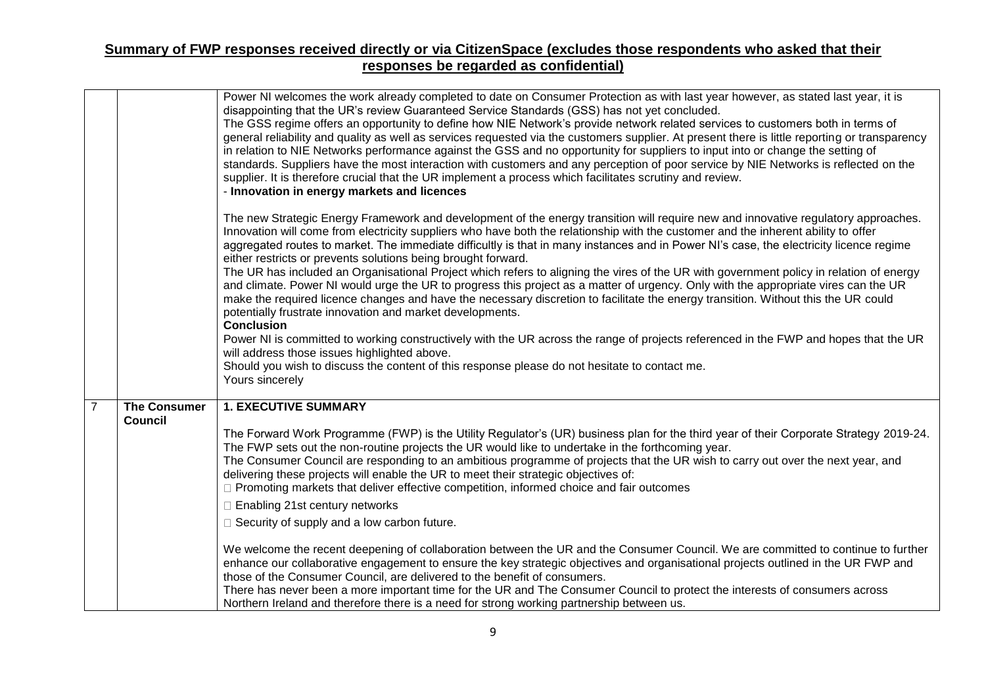|                |                                       | Power NI welcomes the work already completed to date on Consumer Protection as with last year however, as stated last year, it is<br>disappointing that the UR's review Guaranteed Service Standards (GSS) has not yet concluded.<br>The GSS regime offers an opportunity to define how NIE Network's provide network related services to customers both in terms of<br>general reliability and quality as well as services requested via the customers supplier. At present there is little reporting or transparency<br>in relation to NIE Networks performance against the GSS and no opportunity for suppliers to input into or change the setting of<br>standards. Suppliers have the most interaction with customers and any perception of poor service by NIE Networks is reflected on the<br>supplier. It is therefore crucial that the UR implement a process which facilitates scrutiny and review.<br>- Innovation in energy markets and licences |
|----------------|---------------------------------------|--------------------------------------------------------------------------------------------------------------------------------------------------------------------------------------------------------------------------------------------------------------------------------------------------------------------------------------------------------------------------------------------------------------------------------------------------------------------------------------------------------------------------------------------------------------------------------------------------------------------------------------------------------------------------------------------------------------------------------------------------------------------------------------------------------------------------------------------------------------------------------------------------------------------------------------------------------------|
|                |                                       | The new Strategic Energy Framework and development of the energy transition will require new and innovative regulatory approaches.<br>Innovation will come from electricity suppliers who have both the relationship with the customer and the inherent ability to offer<br>aggregated routes to market. The immediate difficultly is that in many instances and in Power NI's case, the electricity licence regime<br>either restricts or prevents solutions being brought forward.<br>The UR has included an Organisational Project which refers to aligning the vires of the UR with government policy in relation of energy<br>and climate. Power NI would urge the UR to progress this project as a matter of urgency. Only with the appropriate vires can the UR<br>make the required licence changes and have the necessary discretion to facilitate the energy transition. Without this the UR could                                                 |
|                |                                       | potentially frustrate innovation and market developments.<br><b>Conclusion</b>                                                                                                                                                                                                                                                                                                                                                                                                                                                                                                                                                                                                                                                                                                                                                                                                                                                                               |
|                |                                       | Power NI is committed to working constructively with the UR across the range of projects referenced in the FWP and hopes that the UR<br>will address those issues highlighted above.                                                                                                                                                                                                                                                                                                                                                                                                                                                                                                                                                                                                                                                                                                                                                                         |
|                |                                       | Should you wish to discuss the content of this response please do not hesitate to contact me.<br>Yours sincerely                                                                                                                                                                                                                                                                                                                                                                                                                                                                                                                                                                                                                                                                                                                                                                                                                                             |
| $\overline{7}$ | <b>The Consumer</b><br><b>Council</b> | <b>1. EXECUTIVE SUMMARY</b>                                                                                                                                                                                                                                                                                                                                                                                                                                                                                                                                                                                                                                                                                                                                                                                                                                                                                                                                  |
|                |                                       | The Forward Work Programme (FWP) is the Utility Regulator's (UR) business plan for the third year of their Corporate Strategy 2019-24.<br>The FWP sets out the non-routine projects the UR would like to undertake in the forthcoming year.<br>The Consumer Council are responding to an ambitious programme of projects that the UR wish to carry out over the next year, and<br>delivering these projects will enable the UR to meet their strategic objectives of:<br>□ Promoting markets that deliver effective competition, informed choice and fair outcomes                                                                                                                                                                                                                                                                                                                                                                                           |
|                |                                       | □ Enabling 21st century networks                                                                                                                                                                                                                                                                                                                                                                                                                                                                                                                                                                                                                                                                                                                                                                                                                                                                                                                             |
|                |                                       | $\Box$ Security of supply and a low carbon future.                                                                                                                                                                                                                                                                                                                                                                                                                                                                                                                                                                                                                                                                                                                                                                                                                                                                                                           |
|                |                                       | We welcome the recent deepening of collaboration between the UR and the Consumer Council. We are committed to continue to further<br>enhance our collaborative engagement to ensure the key strategic objectives and organisational projects outlined in the UR FWP and<br>those of the Consumer Council, are delivered to the benefit of consumers.                                                                                                                                                                                                                                                                                                                                                                                                                                                                                                                                                                                                         |
|                |                                       | There has never been a more important time for the UR and The Consumer Council to protect the interests of consumers across<br>Northern Ireland and therefore there is a need for strong working partnership between us.                                                                                                                                                                                                                                                                                                                                                                                                                                                                                                                                                                                                                                                                                                                                     |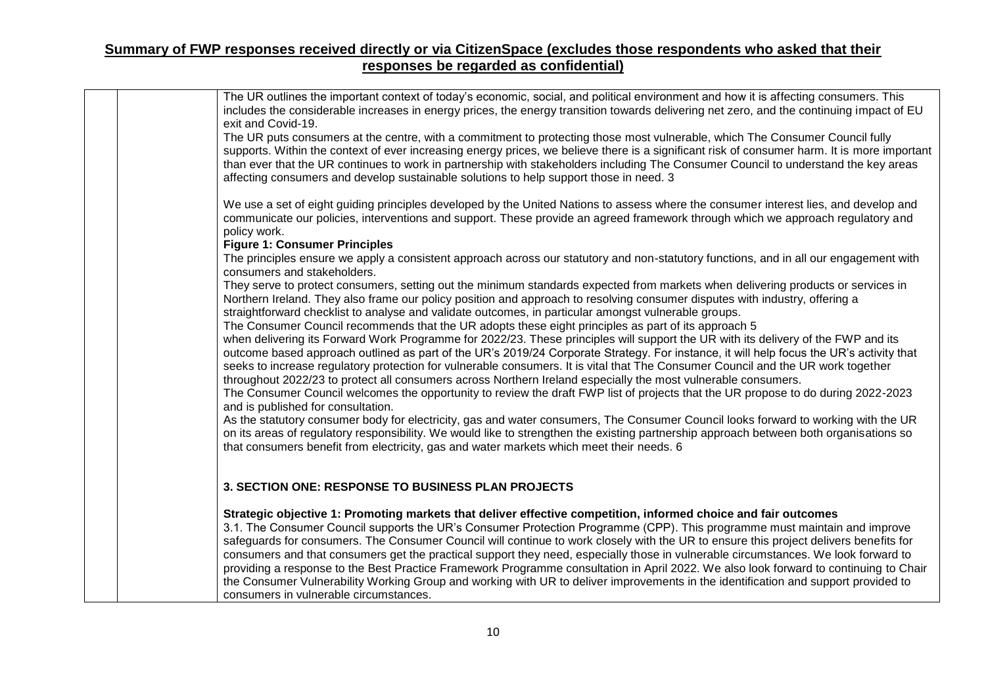| The UR outlines the important context of today's economic, social, and political environment and how it is affecting consumers. This<br>includes the considerable increases in energy prices, the energy transition towards delivering net zero, and the continuing impact of EU<br>exit and Covid-19.                                                                                                                                                                                                                                                                                                                                                                                                                                                                                                                                              |  |
|-----------------------------------------------------------------------------------------------------------------------------------------------------------------------------------------------------------------------------------------------------------------------------------------------------------------------------------------------------------------------------------------------------------------------------------------------------------------------------------------------------------------------------------------------------------------------------------------------------------------------------------------------------------------------------------------------------------------------------------------------------------------------------------------------------------------------------------------------------|--|
| The UR puts consumers at the centre, with a commitment to protecting those most vulnerable, which The Consumer Council fully<br>supports. Within the context of ever increasing energy prices, we believe there is a significant risk of consumer harm. It is more important<br>than ever that the UR continues to work in partnership with stakeholders including The Consumer Council to understand the key areas<br>affecting consumers and develop sustainable solutions to help support those in need. 3                                                                                                                                                                                                                                                                                                                                       |  |
| We use a set of eight guiding principles developed by the United Nations to assess where the consumer interest lies, and develop and<br>communicate our policies, interventions and support. These provide an agreed framework through which we approach regulatory and<br>policy work.                                                                                                                                                                                                                                                                                                                                                                                                                                                                                                                                                             |  |
| <b>Figure 1: Consumer Principles</b><br>The principles ensure we apply a consistent approach across our statutory and non-statutory functions, and in all our engagement with<br>consumers and stakeholders.                                                                                                                                                                                                                                                                                                                                                                                                                                                                                                                                                                                                                                        |  |
| They serve to protect consumers, setting out the minimum standards expected from markets when delivering products or services in<br>Northern Ireland. They also frame our policy position and approach to resolving consumer disputes with industry, offering a<br>straightforward checklist to analyse and validate outcomes, in particular amongst vulnerable groups.                                                                                                                                                                                                                                                                                                                                                                                                                                                                             |  |
| The Consumer Council recommends that the UR adopts these eight principles as part of its approach 5<br>when delivering its Forward Work Programme for 2022/23. These principles will support the UR with its delivery of the FWP and its<br>outcome based approach outlined as part of the UR's 2019/24 Corporate Strategy. For instance, it will help focus the UR's activity that<br>seeks to increase regulatory protection for vulnerable consumers. It is vital that The Consumer Council and the UR work together<br>throughout 2022/23 to protect all consumers across Northern Ireland especially the most vulnerable consumers.                                                                                                                                                                                                            |  |
| The Consumer Council welcomes the opportunity to review the draft FWP list of projects that the UR propose to do during 2022-2023<br>and is published for consultation.                                                                                                                                                                                                                                                                                                                                                                                                                                                                                                                                                                                                                                                                             |  |
| As the statutory consumer body for electricity, gas and water consumers, The Consumer Council looks forward to working with the UR<br>on its areas of regulatory responsibility. We would like to strengthen the existing partnership approach between both organisations so<br>that consumers benefit from electricity, gas and water markets which meet their needs. 6                                                                                                                                                                                                                                                                                                                                                                                                                                                                            |  |
| 3. SECTION ONE: RESPONSE TO BUSINESS PLAN PROJECTS                                                                                                                                                                                                                                                                                                                                                                                                                                                                                                                                                                                                                                                                                                                                                                                                  |  |
| Strategic objective 1: Promoting markets that deliver effective competition, informed choice and fair outcomes<br>3.1. The Consumer Council supports the UR's Consumer Protection Programme (CPP). This programme must maintain and improve<br>safeguards for consumers. The Consumer Council will continue to work closely with the UR to ensure this project delivers benefits for<br>consumers and that consumers get the practical support they need, especially those in vulnerable circumstances. We look forward to<br>providing a response to the Best Practice Framework Programme consultation in April 2022. We also look forward to continuing to Chair<br>the Consumer Vulnerability Working Group and working with UR to deliver improvements in the identification and support provided to<br>consumers in vulnerable circumstances. |  |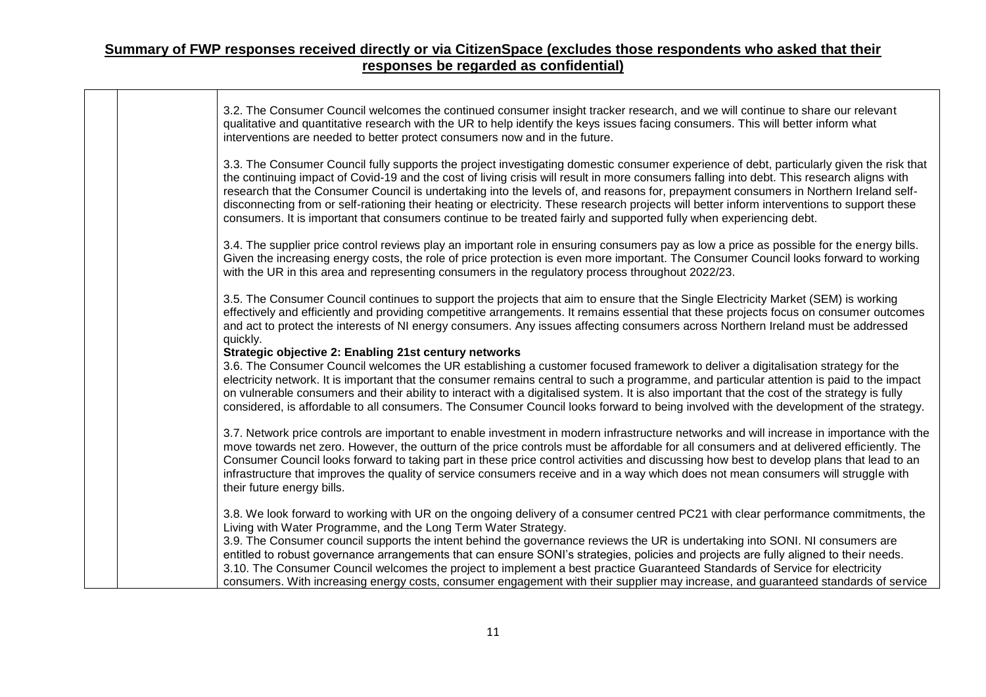|  | 3.2. The Consumer Council welcomes the continued consumer insight tracker research, and we will continue to share our relevant<br>qualitative and quantitative research with the UR to help identify the keys issues facing consumers. This will better inform what<br>interventions are needed to better protect consumers now and in the future.                                                                                                                                                                                                                                                                                                                                                      |
|--|---------------------------------------------------------------------------------------------------------------------------------------------------------------------------------------------------------------------------------------------------------------------------------------------------------------------------------------------------------------------------------------------------------------------------------------------------------------------------------------------------------------------------------------------------------------------------------------------------------------------------------------------------------------------------------------------------------|
|  | 3.3. The Consumer Council fully supports the project investigating domestic consumer experience of debt, particularly given the risk that<br>the continuing impact of Covid-19 and the cost of living crisis will result in more consumers falling into debt. This research aligns with<br>research that the Consumer Council is undertaking into the levels of, and reasons for, prepayment consumers in Northern Ireland self-<br>disconnecting from or self-rationing their heating or electricity. These research projects will better inform interventions to support these<br>consumers. It is important that consumers continue to be treated fairly and supported fully when experiencing debt. |
|  | 3.4. The supplier price control reviews play an important role in ensuring consumers pay as low a price as possible for the energy bills.<br>Given the increasing energy costs, the role of price protection is even more important. The Consumer Council looks forward to working<br>with the UR in this area and representing consumers in the regulatory process throughout 2022/23.                                                                                                                                                                                                                                                                                                                 |
|  | 3.5. The Consumer Council continues to support the projects that aim to ensure that the Single Electricity Market (SEM) is working<br>effectively and efficiently and providing competitive arrangements. It remains essential that these projects focus on consumer outcomes<br>and act to protect the interests of NI energy consumers. Any issues affecting consumers across Northern Ireland must be addressed<br>quickly.                                                                                                                                                                                                                                                                          |
|  | Strategic objective 2: Enabling 21st century networks<br>3.6. The Consumer Council welcomes the UR establishing a customer focused framework to deliver a digitalisation strategy for the<br>electricity network. It is important that the consumer remains central to such a programme, and particular attention is paid to the impact<br>on vulnerable consumers and their ability to interact with a digitalised system. It is also important that the cost of the strategy is fully<br>considered, is affordable to all consumers. The Consumer Council looks forward to being involved with the development of the strategy.                                                                       |
|  | 3.7. Network price controls are important to enable investment in modern infrastructure networks and will increase in importance with the<br>move towards net zero. However, the outturn of the price controls must be affordable for all consumers and at delivered efficiently. The<br>Consumer Council looks forward to taking part in these price control activities and discussing how best to develop plans that lead to an<br>infrastructure that improves the quality of service consumers receive and in a way which does not mean consumers will struggle with<br>their future energy bills.                                                                                                  |
|  | 3.8. We look forward to working with UR on the ongoing delivery of a consumer centred PC21 with clear performance commitments, the<br>Living with Water Programme, and the Long Term Water Strategy.                                                                                                                                                                                                                                                                                                                                                                                                                                                                                                    |
|  | 3.9. The Consumer council supports the intent behind the governance reviews the UR is undertaking into SONI. NI consumers are<br>entitled to robust governance arrangements that can ensure SONI's strategies, policies and projects are fully aligned to their needs.<br>3.10. The Consumer Council welcomes the project to implement a best practice Guaranteed Standards of Service for electricity<br>consumers. With increasing energy costs, consumer engagement with their supplier may increase, and guaranteed standards of service                                                                                                                                                            |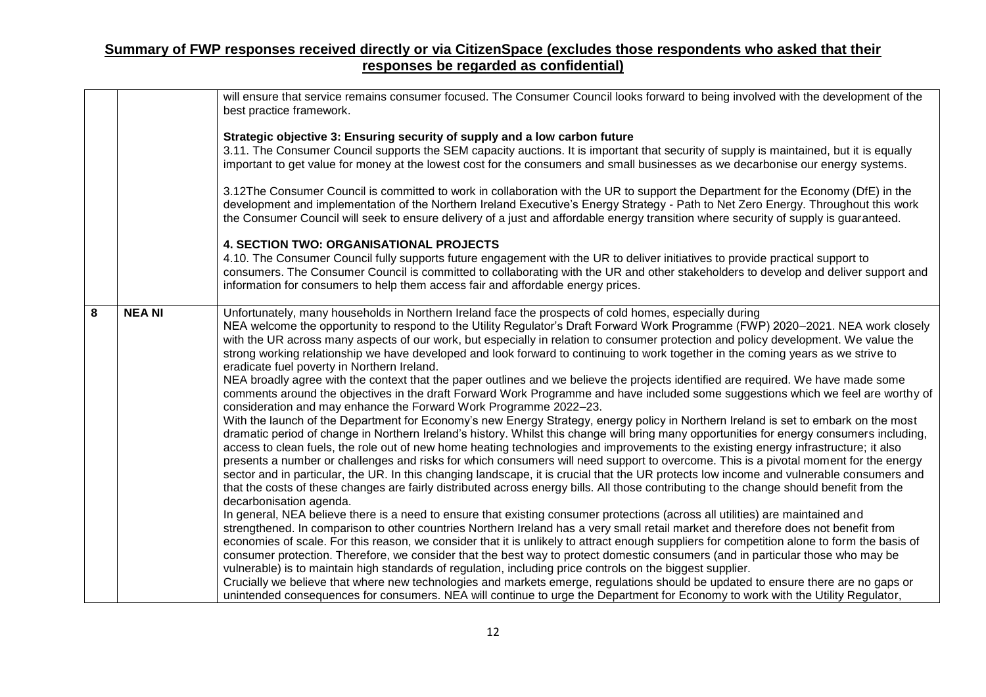|   |               | will ensure that service remains consumer focused. The Consumer Council looks forward to being involved with the development of the<br>best practice framework.                                                                                                                                                                                                                                                                                                                                                                                                                                                                                                                                                                                                                                                                                                                     |
|---|---------------|-------------------------------------------------------------------------------------------------------------------------------------------------------------------------------------------------------------------------------------------------------------------------------------------------------------------------------------------------------------------------------------------------------------------------------------------------------------------------------------------------------------------------------------------------------------------------------------------------------------------------------------------------------------------------------------------------------------------------------------------------------------------------------------------------------------------------------------------------------------------------------------|
|   |               | Strategic objective 3: Ensuring security of supply and a low carbon future<br>3.11. The Consumer Council supports the SEM capacity auctions. It is important that security of supply is maintained, but it is equally<br>important to get value for money at the lowest cost for the consumers and small businesses as we decarbonise our energy systems.                                                                                                                                                                                                                                                                                                                                                                                                                                                                                                                           |
|   |               | 3.12The Consumer Council is committed to work in collaboration with the UR to support the Department for the Economy (DfE) in the<br>development and implementation of the Northern Ireland Executive's Energy Strategy - Path to Net Zero Energy. Throughout this work<br>the Consumer Council will seek to ensure delivery of a just and affordable energy transition where security of supply is guaranteed.                                                                                                                                                                                                                                                                                                                                                                                                                                                                     |
|   |               | <b>4. SECTION TWO: ORGANISATIONAL PROJECTS</b>                                                                                                                                                                                                                                                                                                                                                                                                                                                                                                                                                                                                                                                                                                                                                                                                                                      |
|   |               | 4.10. The Consumer Council fully supports future engagement with the UR to deliver initiatives to provide practical support to<br>consumers. The Consumer Council is committed to collaborating with the UR and other stakeholders to develop and deliver support and<br>information for consumers to help them access fair and affordable energy prices.                                                                                                                                                                                                                                                                                                                                                                                                                                                                                                                           |
| 8 | <b>NEA NI</b> | Unfortunately, many households in Northern Ireland face the prospects of cold homes, especially during<br>NEA welcome the opportunity to respond to the Utility Regulator's Draft Forward Work Programme (FWP) 2020-2021. NEA work closely<br>with the UR across many aspects of our work, but especially in relation to consumer protection and policy development. We value the<br>strong working relationship we have developed and look forward to continuing to work together in the coming years as we strive to<br>eradicate fuel poverty in Northern Ireland.                                                                                                                                                                                                                                                                                                               |
|   |               | NEA broadly agree with the context that the paper outlines and we believe the projects identified are required. We have made some<br>comments around the objectives in the draft Forward Work Programme and have included some suggestions which we feel are worthy of<br>consideration and may enhance the Forward Work Programme 2022-23.                                                                                                                                                                                                                                                                                                                                                                                                                                                                                                                                         |
|   |               | With the launch of the Department for Economy's new Energy Strategy, energy policy in Northern Ireland is set to embark on the most<br>dramatic period of change in Northern Ireland's history. Whilst this change will bring many opportunities for energy consumers including,<br>access to clean fuels, the role out of new home heating technologies and improvements to the existing energy infrastructure; it also<br>presents a number or challenges and risks for which consumers will need support to overcome. This is a pivotal moment for the energy<br>sector and in particular, the UR. In this changing landscape, it is crucial that the UR protects low income and vulnerable consumers and<br>that the costs of these changes are fairly distributed across energy bills. All those contributing to the change should benefit from the<br>decarbonisation agenda. |
|   |               | In general, NEA believe there is a need to ensure that existing consumer protections (across all utilities) are maintained and<br>strengthened. In comparison to other countries Northern Ireland has a very small retail market and therefore does not benefit from<br>economies of scale. For this reason, we consider that it is unlikely to attract enough suppliers for competition alone to form the basis of<br>consumer protection. Therefore, we consider that the best way to protect domestic consumers (and in particular those who may be<br>vulnerable) is to maintain high standards of regulation, including price controls on the biggest supplier.                                                                                                                                                                                                                |
|   |               | Crucially we believe that where new technologies and markets emerge, regulations should be updated to ensure there are no gaps or<br>unintended consequences for consumers. NEA will continue to urge the Department for Economy to work with the Utility Regulator,                                                                                                                                                                                                                                                                                                                                                                                                                                                                                                                                                                                                                |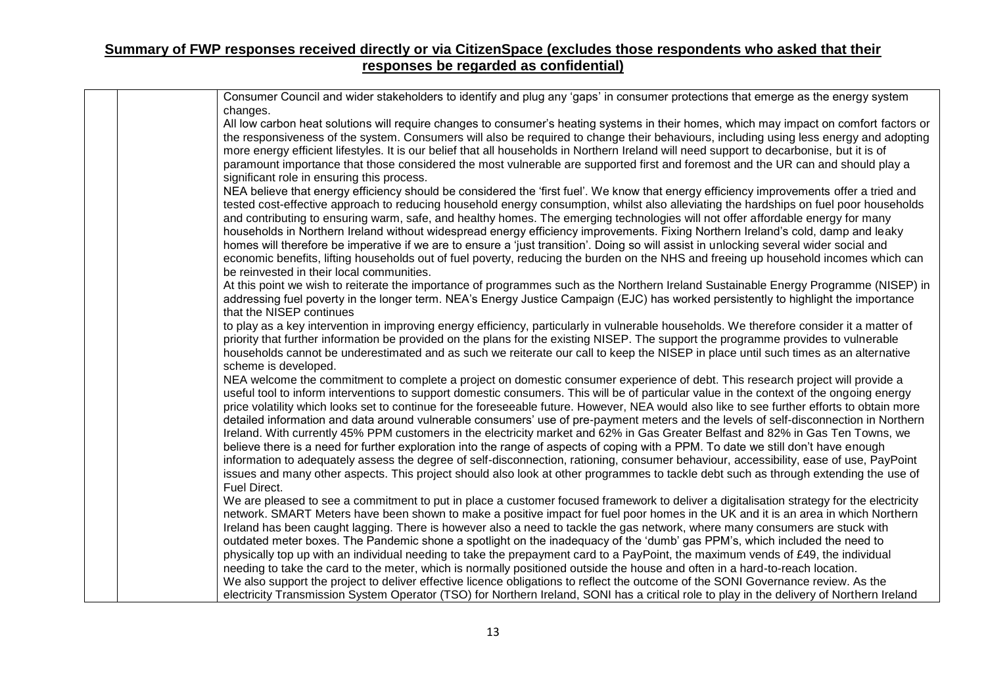| Consumer Council and wider stakeholders to identify and plug any 'gaps' in consumer protections that emerge as the energy system<br>changes.                                                                                                                                                                                                                                                                                                                                                                                                                                                                                                                                                                                                                                                                                                                                                                                                                                                                                                                                                                                                  |
|-----------------------------------------------------------------------------------------------------------------------------------------------------------------------------------------------------------------------------------------------------------------------------------------------------------------------------------------------------------------------------------------------------------------------------------------------------------------------------------------------------------------------------------------------------------------------------------------------------------------------------------------------------------------------------------------------------------------------------------------------------------------------------------------------------------------------------------------------------------------------------------------------------------------------------------------------------------------------------------------------------------------------------------------------------------------------------------------------------------------------------------------------|
| All low carbon heat solutions will require changes to consumer's heating systems in their homes, which may impact on comfort factors or<br>the responsiveness of the system. Consumers will also be required to change their behaviours, including using less energy and adopting<br>more energy efficient lifestyles. It is our belief that all households in Northern Ireland will need support to decarbonise, but it is of<br>paramount importance that those considered the most vulnerable are supported first and foremost and the UR can and should play a<br>significant role in ensuring this process.                                                                                                                                                                                                                                                                                                                                                                                                                                                                                                                              |
| NEA believe that energy efficiency should be considered the 'first fuel'. We know that energy efficiency improvements offer a tried and<br>tested cost-effective approach to reducing household energy consumption, whilst also alleviating the hardships on fuel poor households<br>and contributing to ensuring warm, safe, and healthy homes. The emerging technologies will not offer affordable energy for many<br>households in Northern Ireland without widespread energy efficiency improvements. Fixing Northern Ireland's cold, damp and leaky<br>homes will therefore be imperative if we are to ensure a 'just transition'. Doing so will assist in unlocking several wider social and<br>economic benefits, lifting households out of fuel poverty, reducing the burden on the NHS and freeing up household incomes which can<br>be reinvested in their local communities.                                                                                                                                                                                                                                                       |
| At this point we wish to reiterate the importance of programmes such as the Northern Ireland Sustainable Energy Programme (NISEP) in<br>addressing fuel poverty in the longer term. NEA's Energy Justice Campaign (EJC) has worked persistently to highlight the importance<br>that the NISEP continues                                                                                                                                                                                                                                                                                                                                                                                                                                                                                                                                                                                                                                                                                                                                                                                                                                       |
| to play as a key intervention in improving energy efficiency, particularly in vulnerable households. We therefore consider it a matter of<br>priority that further information be provided on the plans for the existing NISEP. The support the programme provides to vulnerable<br>households cannot be underestimated and as such we reiterate our call to keep the NISEP in place until such times as an alternative<br>scheme is developed.                                                                                                                                                                                                                                                                                                                                                                                                                                                                                                                                                                                                                                                                                               |
| NEA welcome the commitment to complete a project on domestic consumer experience of debt. This research project will provide a<br>useful tool to inform interventions to support domestic consumers. This will be of particular value in the context of the ongoing energy<br>price volatility which looks set to continue for the foreseeable future. However, NEA would also like to see further efforts to obtain more<br>detailed information and data around vulnerable consumers' use of pre-payment meters and the levels of self-disconnection in Northern<br>Ireland. With currently 45% PPM customers in the electricity market and 62% in Gas Greater Belfast and 82% in Gas Ten Towns, we<br>believe there is a need for further exploration into the range of aspects of coping with a PPM. To date we still don't have enough<br>information to adequately assess the degree of self-disconnection, rationing, consumer behaviour, accessibility, ease of use, PayPoint<br>issues and many other aspects. This project should also look at other programmes to tackle debt such as through extending the use of<br>Fuel Direct. |
| We are pleased to see a commitment to put in place a customer focused framework to deliver a digitalisation strategy for the electricity<br>network. SMART Meters have been shown to make a positive impact for fuel poor homes in the UK and it is an area in which Northern<br>Ireland has been caught lagging. There is however also a need to tackle the gas network, where many consumers are stuck with<br>outdated meter boxes. The Pandemic shone a spotlight on the inadequacy of the 'dumb' gas PPM's, which included the need to<br>physically top up with an individual needing to take the prepayment card to a PayPoint, the maximum vends of £49, the individual<br>needing to take the card to the meter, which is normally positioned outside the house and often in a hard-to-reach location.<br>We also support the project to deliver effective licence obligations to reflect the outcome of the SONI Governance review. As the<br>electricity Transmission System Operator (TSO) for Northern Ireland, SONI has a critical role to play in the delivery of Northern Ireland                                             |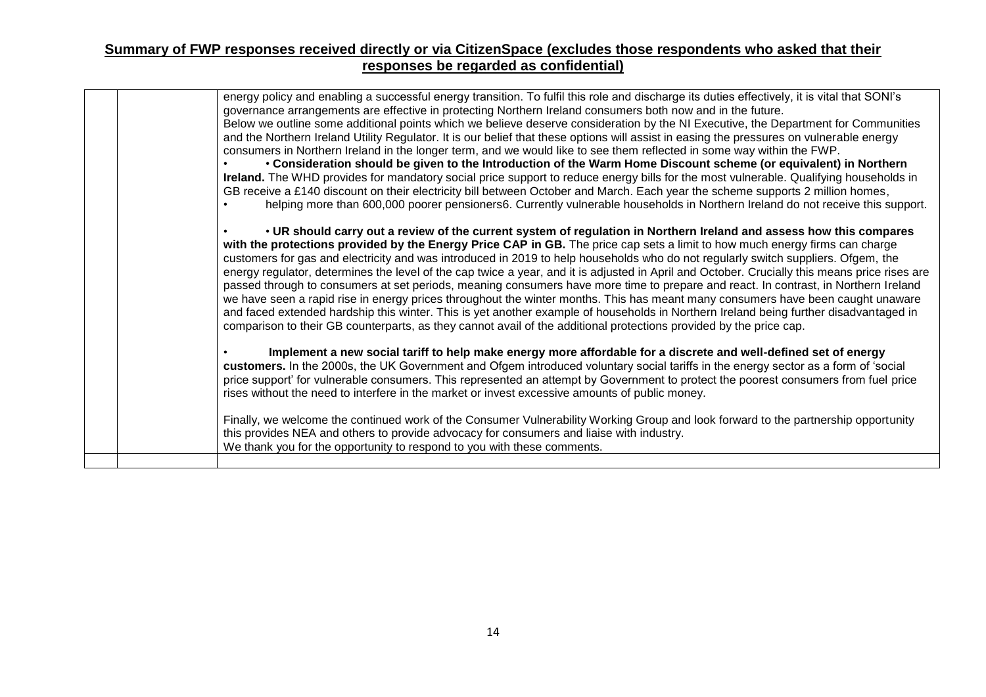| energy policy and enabling a successful energy transition. To fulfil this role and discharge its duties effectively, it is vital that SONI's<br>governance arrangements are effective in protecting Northern Ireland consumers both now and in the future.<br>Below we outline some additional points which we believe deserve consideration by the NI Executive, the Department for Communities<br>and the Northern Ireland Utility Regulator. It is our belief that these options will assist in easing the pressures on vulnerable energy<br>consumers in Northern Ireland in the longer term, and we would like to see them reflected in some way within the FWP.<br>• Consideration should be given to the Introduction of the Warm Home Discount scheme (or equivalent) in Northern<br>Ireland. The WHD provides for mandatory social price support to reduce energy bills for the most vulnerable. Qualifying households in<br>GB receive a £140 discount on their electricity bill between October and March. Each year the scheme supports 2 million homes,                                                                                                                                                |  |
|---------------------------------------------------------------------------------------------------------------------------------------------------------------------------------------------------------------------------------------------------------------------------------------------------------------------------------------------------------------------------------------------------------------------------------------------------------------------------------------------------------------------------------------------------------------------------------------------------------------------------------------------------------------------------------------------------------------------------------------------------------------------------------------------------------------------------------------------------------------------------------------------------------------------------------------------------------------------------------------------------------------------------------------------------------------------------------------------------------------------------------------------------------------------------------------------------------------------|--|
| helping more than 600,000 poorer pensioners6. Currently vulnerable households in Northern Ireland do not receive this support.<br>• UR should carry out a review of the current system of regulation in Northern Ireland and assess how this compares<br>with the protections provided by the Energy Price CAP in GB. The price cap sets a limit to how much energy firms can charge<br>customers for gas and electricity and was introduced in 2019 to help households who do not regularly switch suppliers. Ofgem, the<br>energy regulator, determines the level of the cap twice a year, and it is adjusted in April and October. Crucially this means price rises are<br>passed through to consumers at set periods, meaning consumers have more time to prepare and react. In contrast, in Northern Ireland<br>we have seen a rapid rise in energy prices throughout the winter months. This has meant many consumers have been caught unaware<br>and faced extended hardship this winter. This is yet another example of households in Northern Ireland being further disadvantaged in<br>comparison to their GB counterparts, as they cannot avail of the additional protections provided by the price cap. |  |
| Implement a new social tariff to help make energy more affordable for a discrete and well-defined set of energy<br>customers. In the 2000s, the UK Government and Ofgem introduced voluntary social tariffs in the energy sector as a form of 'social<br>price support' for vulnerable consumers. This represented an attempt by Government to protect the poorest consumers from fuel price<br>rises without the need to interfere in the market or invest excessive amounts of public money.<br>Finally, we welcome the continued work of the Consumer Vulnerability Working Group and look forward to the partnership opportunity<br>this provides NEA and others to provide advocacy for consumers and liaise with industry.<br>We thank you for the opportunity to respond to you with these comments.                                                                                                                                                                                                                                                                                                                                                                                                         |  |
|                                                                                                                                                                                                                                                                                                                                                                                                                                                                                                                                                                                                                                                                                                                                                                                                                                                                                                                                                                                                                                                                                                                                                                                                                     |  |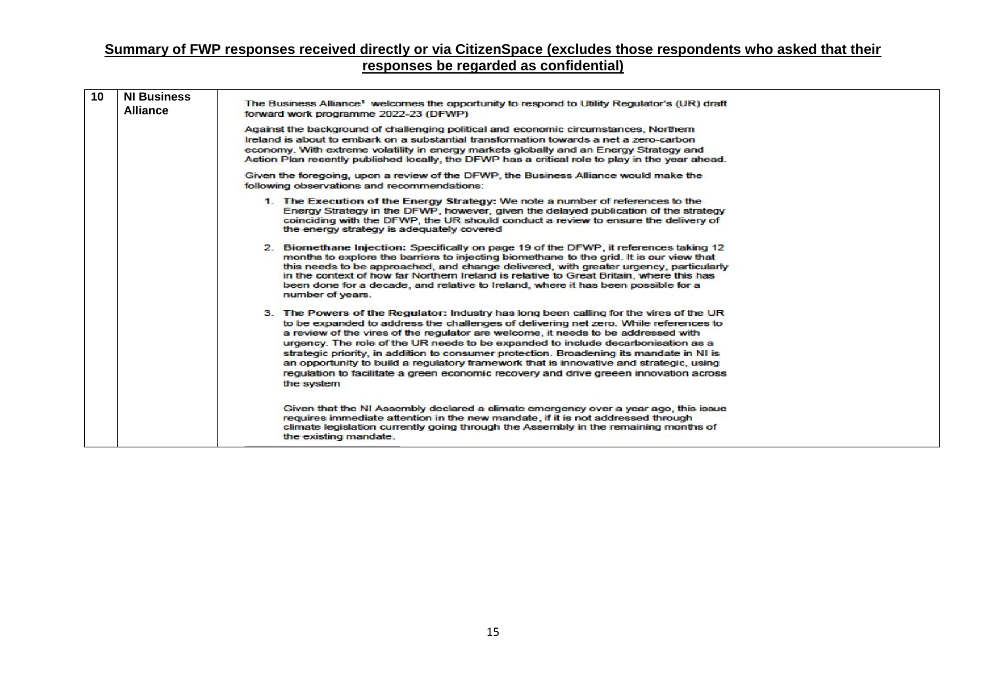| 10 | <b>NI Business</b><br><b>Alliance</b> | The Business Alliance <sup>1</sup> welcomes the opportunity to respond to Utility Regulator's (UR) draft<br>forward work programme 2022-23 (DFWP)                                                                                                                                                                                                                                                                                                                                                                                                                                                                                                   |  |  |  |  |  |
|----|---------------------------------------|-----------------------------------------------------------------------------------------------------------------------------------------------------------------------------------------------------------------------------------------------------------------------------------------------------------------------------------------------------------------------------------------------------------------------------------------------------------------------------------------------------------------------------------------------------------------------------------------------------------------------------------------------------|--|--|--|--|--|
|    |                                       | Against the background of challenging political and economic circumstances, Northern<br>Ireland is about to embark on a substantial transformation towards a net a zero-carbon<br>economy. With extreme volatility in energy markets globally and an Energy Strategy and<br>Action Plan recently published locally, the DFWP has a critical role to play in the year ahead.                                                                                                                                                                                                                                                                         |  |  |  |  |  |
|    |                                       | Given the foregoing, upon a review of the DFWP, the Business Alliance would make the<br>following observations and recommendations:                                                                                                                                                                                                                                                                                                                                                                                                                                                                                                                 |  |  |  |  |  |
|    |                                       | 1. The Execution of the Energy Strategy: We note a number of references to the<br>Energy Strategy in the DFWP, however, given the delayed publication of the strategy<br>coinciding with the DFWP, the UR should conduct a review to ensure the delivery of<br>the energy strategy is adequately covered                                                                                                                                                                                                                                                                                                                                            |  |  |  |  |  |
|    |                                       | 2. Biomethane Injection: Specifically on page 19 of the DFWP, it references taking 12<br>months to explore the barriers to injecting biomethane to the grid. It is our view that<br>this needs to be approached, and change delivered, with greater urgency, particularly<br>in the context of how far Northern Ireland is relative to Great Britain, where this has<br>been done for a decade, and relative to Ireland, where it has been possible for a<br>number of years.                                                                                                                                                                       |  |  |  |  |  |
|    |                                       | 3. The Powers of the Regulator: Industry has long been calling for the vires of the UR<br>to be expanded to address the challenges of delivering net zero. While references to<br>a review of the vires of the regulator are welcome, it needs to be addressed with<br>urgency. The role of the UR needs to be expanded to include decarbonisation as a<br>strategic priority, in addition to consumer protection. Broadening its mandate in NI is<br>an opportunity to build a requlatory framework that is innovative and strategic, using<br>requlation to facilitate a green economic recovery and drive greeen innovation across<br>the system |  |  |  |  |  |
|    |                                       | Given that the NI Assembly declared a climate emergency over a year ago, this issue<br>requires immediate attention in the new mandate, if it is not addressed through<br>climate legislation currently going through the Assembly in the remaining months of<br>the existing mandate.                                                                                                                                                                                                                                                                                                                                                              |  |  |  |  |  |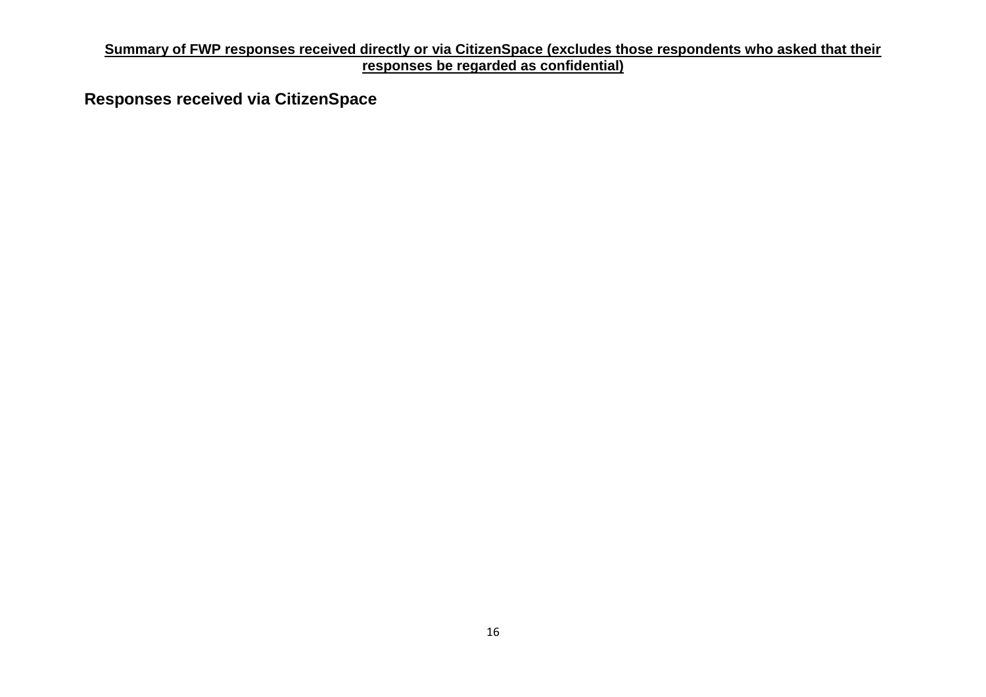**Responses received via CitizenSpace**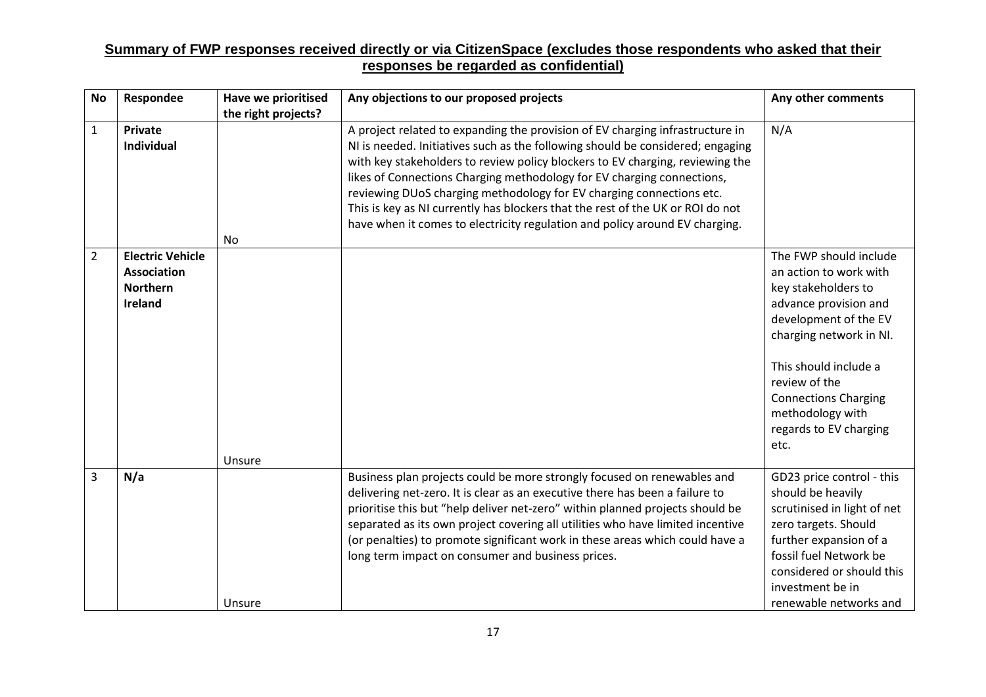| <b>No</b>      | Respondee                                                                   | <b>Have we prioritised</b><br>the right projects? | Any objections to our proposed projects                                                                                                                                                                                                                                                                                                                                                                                                                                                                                                                             | Any other comments                                                                                                                                                                                                                                                                  |
|----------------|-----------------------------------------------------------------------------|---------------------------------------------------|---------------------------------------------------------------------------------------------------------------------------------------------------------------------------------------------------------------------------------------------------------------------------------------------------------------------------------------------------------------------------------------------------------------------------------------------------------------------------------------------------------------------------------------------------------------------|-------------------------------------------------------------------------------------------------------------------------------------------------------------------------------------------------------------------------------------------------------------------------------------|
| $\mathbf{1}$   | <b>Private</b><br><b>Individual</b>                                         | <b>No</b>                                         | A project related to expanding the provision of EV charging infrastructure in<br>NI is needed. Initiatives such as the following should be considered; engaging<br>with key stakeholders to review policy blockers to EV charging, reviewing the<br>likes of Connections Charging methodology for EV charging connections,<br>reviewing DUoS charging methodology for EV charging connections etc.<br>This is key as NI currently has blockers that the rest of the UK or ROI do not<br>have when it comes to electricity regulation and policy around EV charging. | N/A                                                                                                                                                                                                                                                                                 |
| $\overline{2}$ | <b>Electric Vehicle</b><br><b>Association</b><br><b>Northern</b><br>Ireland | Unsure                                            |                                                                                                                                                                                                                                                                                                                                                                                                                                                                                                                                                                     | The FWP should include<br>an action to work with<br>key stakeholders to<br>advance provision and<br>development of the EV<br>charging network in NI.<br>This should include a<br>review of the<br><b>Connections Charging</b><br>methodology with<br>regards to EV charging<br>etc. |
| 3              | N/a                                                                         | Unsure                                            | Business plan projects could be more strongly focused on renewables and<br>delivering net-zero. It is clear as an executive there has been a failure to<br>prioritise this but "help deliver net-zero" within planned projects should be<br>separated as its own project covering all utilities who have limited incentive<br>(or penalties) to promote significant work in these areas which could have a<br>long term impact on consumer and business prices.                                                                                                     | GD23 price control - this<br>should be heavily<br>scrutinised in light of net<br>zero targets. Should<br>further expansion of a<br>fossil fuel Network be<br>considered or should this<br>investment be in<br>renewable networks and                                                |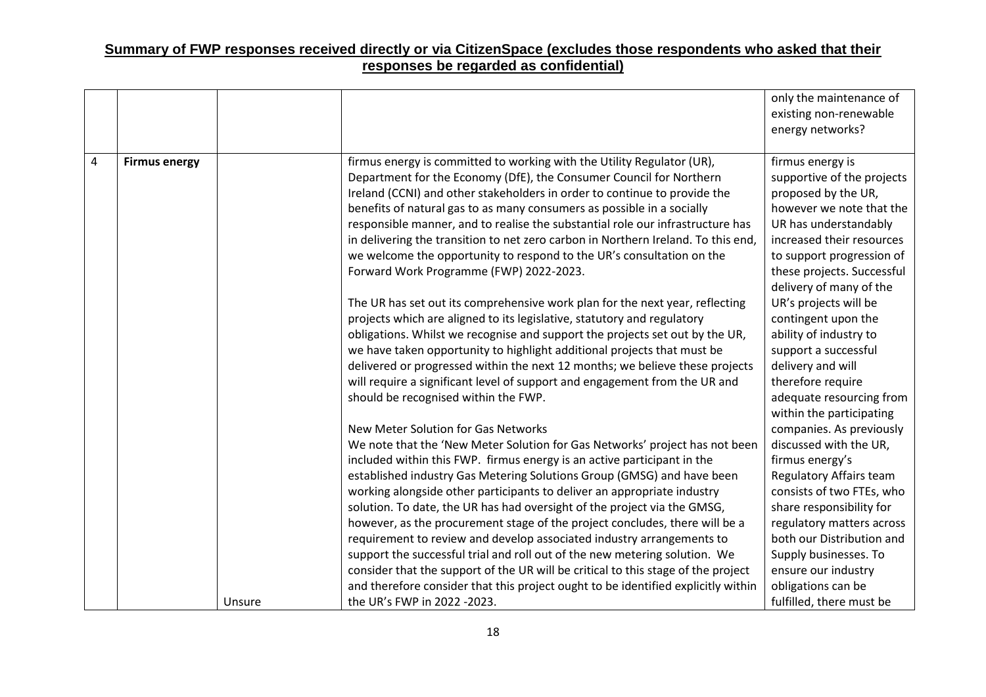|                |                      |        |                                                                                                                                                                                                                                                                                                                                                                                                                                                                                                                                                                                                                                                                                                                                                           | only the maintenance of<br>existing non-renewable<br>energy networks?                                                                                                                                                                                               |
|----------------|----------------------|--------|-----------------------------------------------------------------------------------------------------------------------------------------------------------------------------------------------------------------------------------------------------------------------------------------------------------------------------------------------------------------------------------------------------------------------------------------------------------------------------------------------------------------------------------------------------------------------------------------------------------------------------------------------------------------------------------------------------------------------------------------------------------|---------------------------------------------------------------------------------------------------------------------------------------------------------------------------------------------------------------------------------------------------------------------|
| $\overline{4}$ | <b>Firmus energy</b> |        | firmus energy is committed to working with the Utility Regulator (UR),<br>Department for the Economy (DfE), the Consumer Council for Northern<br>Ireland (CCNI) and other stakeholders in order to continue to provide the<br>benefits of natural gas to as many consumers as possible in a socially<br>responsible manner, and to realise the substantial role our infrastructure has<br>in delivering the transition to net zero carbon in Northern Ireland. To this end,<br>we welcome the opportunity to respond to the UR's consultation on the<br>Forward Work Programme (FWP) 2022-2023.                                                                                                                                                           | firmus energy is<br>supportive of the projects<br>proposed by the UR,<br>however we note that the<br>UR has understandably<br>increased their resources<br>to support progression of<br>these projects. Successful<br>delivery of many of the                       |
|                |                      |        | The UR has set out its comprehensive work plan for the next year, reflecting<br>projects which are aligned to its legislative, statutory and regulatory<br>obligations. Whilst we recognise and support the projects set out by the UR,<br>we have taken opportunity to highlight additional projects that must be<br>delivered or progressed within the next 12 months; we believe these projects<br>will require a significant level of support and engagement from the UR and<br>should be recognised within the FWP.                                                                                                                                                                                                                                  | UR's projects will be<br>contingent upon the<br>ability of industry to<br>support a successful<br>delivery and will<br>therefore require<br>adequate resourcing from<br>within the participating                                                                    |
|                |                      |        | New Meter Solution for Gas Networks<br>We note that the 'New Meter Solution for Gas Networks' project has not been<br>included within this FWP. firmus energy is an active participant in the<br>established industry Gas Metering Solutions Group (GMSG) and have been<br>working alongside other participants to deliver an appropriate industry<br>solution. To date, the UR has had oversight of the project via the GMSG,<br>however, as the procurement stage of the project concludes, there will be a<br>requirement to review and develop associated industry arrangements to<br>support the successful trial and roll out of the new metering solution. We<br>consider that the support of the UR will be critical to this stage of the project | companies. As previously<br>discussed with the UR,<br>firmus energy's<br>Regulatory Affairs team<br>consists of two FTEs, who<br>share responsibility for<br>regulatory matters across<br>both our Distribution and<br>Supply businesses. To<br>ensure our industry |
|                |                      | Unsure | and therefore consider that this project ought to be identified explicitly within<br>the UR's FWP in 2022 -2023.                                                                                                                                                                                                                                                                                                                                                                                                                                                                                                                                                                                                                                          | obligations can be<br>fulfilled, there must be                                                                                                                                                                                                                      |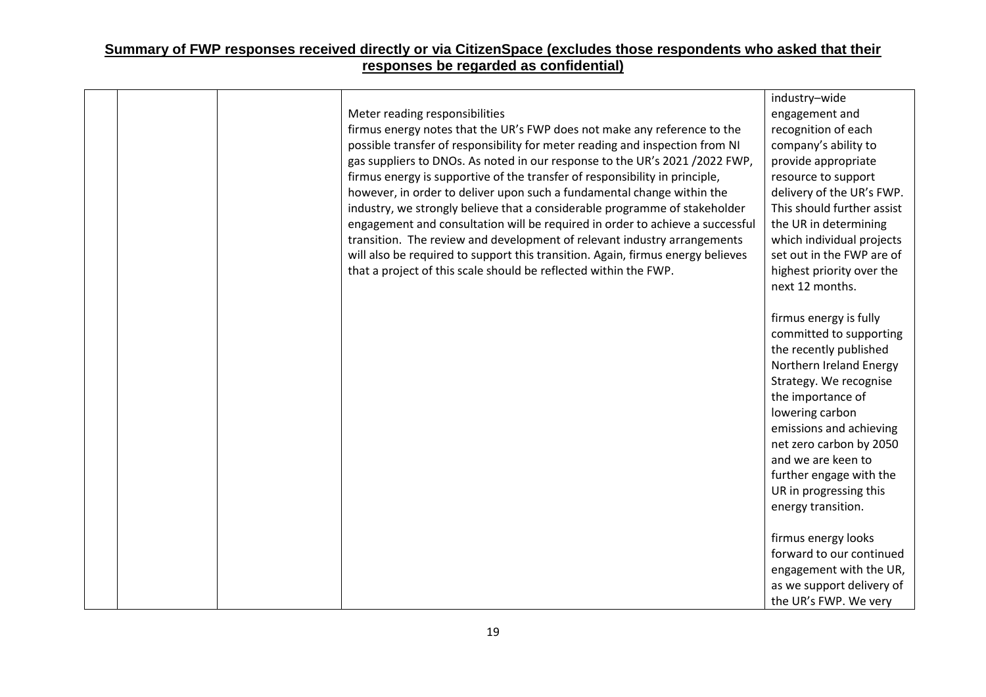|  | Meter reading responsibilities<br>firmus energy notes that the UR's FWP does not make any reference to the<br>possible transfer of responsibility for meter reading and inspection from NI<br>gas suppliers to DNOs. As noted in our response to the UR's 2021 / 2022 FWP,<br>firmus energy is supportive of the transfer of responsibility in principle,<br>however, in order to deliver upon such a fundamental change within the<br>industry, we strongly believe that a considerable programme of stakeholder<br>engagement and consultation will be required in order to achieve a successful<br>transition. The review and development of relevant industry arrangements<br>will also be required to support this transition. Again, firmus energy believes<br>that a project of this scale should be reflected within the FWP. | industry-wide<br>engagement and<br>recognition of each<br>company's ability to<br>provide appropriate<br>resource to support<br>delivery of the UR's FWP.<br>This should further assist<br>the UR in determining<br>which individual projects<br>set out in the FWP are of<br>highest priority over the<br>next 12 months.      |
|--|---------------------------------------------------------------------------------------------------------------------------------------------------------------------------------------------------------------------------------------------------------------------------------------------------------------------------------------------------------------------------------------------------------------------------------------------------------------------------------------------------------------------------------------------------------------------------------------------------------------------------------------------------------------------------------------------------------------------------------------------------------------------------------------------------------------------------------------|---------------------------------------------------------------------------------------------------------------------------------------------------------------------------------------------------------------------------------------------------------------------------------------------------------------------------------|
|  |                                                                                                                                                                                                                                                                                                                                                                                                                                                                                                                                                                                                                                                                                                                                                                                                                                       | firmus energy is fully<br>committed to supporting<br>the recently published<br>Northern Ireland Energy<br>Strategy. We recognise<br>the importance of<br>lowering carbon<br>emissions and achieving<br>net zero carbon by 2050<br>and we are keen to<br>further engage with the<br>UR in progressing this<br>energy transition. |
|  |                                                                                                                                                                                                                                                                                                                                                                                                                                                                                                                                                                                                                                                                                                                                                                                                                                       | firmus energy looks<br>forward to our continued<br>engagement with the UR,<br>as we support delivery of<br>the UR's FWP. We very                                                                                                                                                                                                |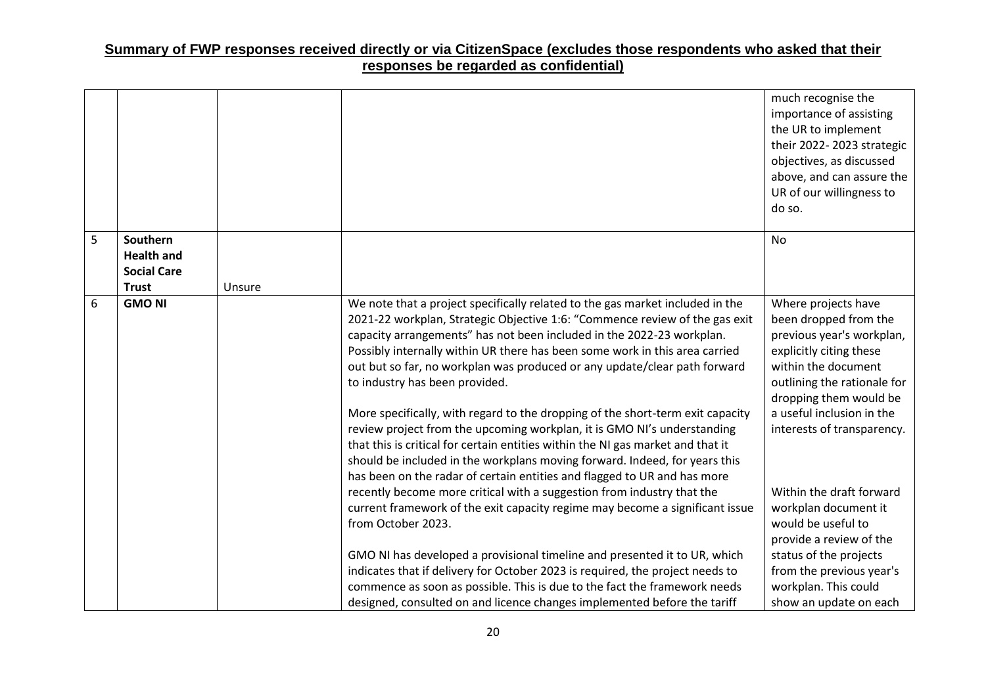|   |                                    |        |                                                                                                                                                                                                                                                                                                                                                                                                                                                                                                                                                                                                                                                                                                                                                                                                                                               | much recognise the<br>importance of assisting<br>the UR to implement<br>their 2022-2023 strategic<br>objectives, as discussed<br>above, and can assure the<br>UR of our willingness to<br>do so.                                                |
|---|------------------------------------|--------|-----------------------------------------------------------------------------------------------------------------------------------------------------------------------------------------------------------------------------------------------------------------------------------------------------------------------------------------------------------------------------------------------------------------------------------------------------------------------------------------------------------------------------------------------------------------------------------------------------------------------------------------------------------------------------------------------------------------------------------------------------------------------------------------------------------------------------------------------|-------------------------------------------------------------------------------------------------------------------------------------------------------------------------------------------------------------------------------------------------|
| 5 | Southern                           |        |                                                                                                                                                                                                                                                                                                                                                                                                                                                                                                                                                                                                                                                                                                                                                                                                                                               | <b>No</b>                                                                                                                                                                                                                                       |
|   | <b>Health and</b>                  |        |                                                                                                                                                                                                                                                                                                                                                                                                                                                                                                                                                                                                                                                                                                                                                                                                                                               |                                                                                                                                                                                                                                                 |
|   | <b>Social Care</b><br><b>Trust</b> | Unsure |                                                                                                                                                                                                                                                                                                                                                                                                                                                                                                                                                                                                                                                                                                                                                                                                                                               |                                                                                                                                                                                                                                                 |
| 6 | <b>GMO NI</b>                      |        | We note that a project specifically related to the gas market included in the<br>2021-22 workplan, Strategic Objective 1:6: "Commence review of the gas exit<br>capacity arrangements" has not been included in the 2022-23 workplan.<br>Possibly internally within UR there has been some work in this area carried<br>out but so far, no workplan was produced or any update/clear path forward<br>to industry has been provided.<br>More specifically, with regard to the dropping of the short-term exit capacity<br>review project from the upcoming workplan, it is GMO NI's understanding<br>that this is critical for certain entities within the NI gas market and that it<br>should be included in the workplans moving forward. Indeed, for years this<br>has been on the radar of certain entities and flagged to UR and has more | Where projects have<br>been dropped from the<br>previous year's workplan,<br>explicitly citing these<br>within the document<br>outlining the rationale for<br>dropping them would be<br>a useful inclusion in the<br>interests of transparency. |
|   |                                    |        | recently become more critical with a suggestion from industry that the<br>current framework of the exit capacity regime may become a significant issue<br>from October 2023.<br>GMO NI has developed a provisional timeline and presented it to UR, which<br>indicates that if delivery for October 2023 is required, the project needs to<br>commence as soon as possible. This is due to the fact the framework needs<br>designed, consulted on and licence changes implemented before the tariff                                                                                                                                                                                                                                                                                                                                           | Within the draft forward<br>workplan document it<br>would be useful to<br>provide a review of the<br>status of the projects<br>from the previous year's<br>workplan. This could<br>show an update on each                                       |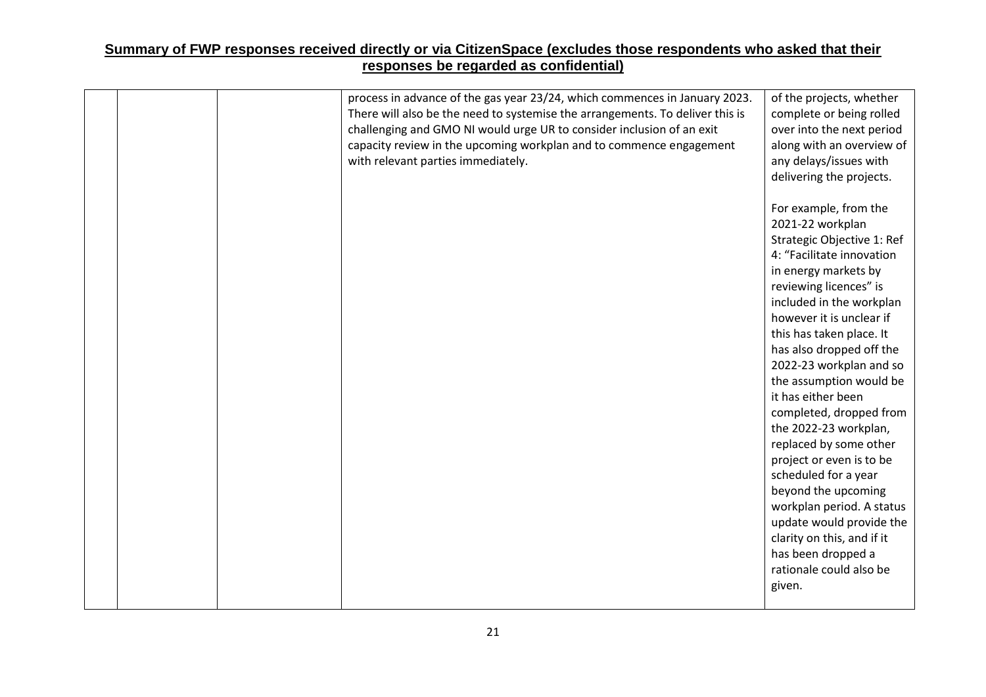|  | process in advance of the gas year 23/24, which commences in January 2023.<br>There will also be the need to systemise the arrangements. To deliver this is<br>challenging and GMO NI would urge UR to consider inclusion of an exit<br>capacity review in the upcoming workplan and to commence engagement<br>with relevant parties immediately. | of the projects, whether<br>complete or being rolled<br>over into the next period<br>along with an overview of<br>any delays/issues with<br>delivering the projects.                                              |
|--|---------------------------------------------------------------------------------------------------------------------------------------------------------------------------------------------------------------------------------------------------------------------------------------------------------------------------------------------------|-------------------------------------------------------------------------------------------------------------------------------------------------------------------------------------------------------------------|
|  |                                                                                                                                                                                                                                                                                                                                                   | For example, from the<br>2021-22 workplan<br>Strategic Objective 1: Ref<br>4: "Facilitate innovation<br>in energy markets by<br>reviewing licences" is<br>included in the workplan                                |
|  |                                                                                                                                                                                                                                                                                                                                                   | however it is unclear if<br>this has taken place. It<br>has also dropped off the<br>2022-23 workplan and so<br>the assumption would be<br>it has either been<br>completed, dropped from                           |
|  |                                                                                                                                                                                                                                                                                                                                                   | the 2022-23 workplan,<br>replaced by some other<br>project or even is to be<br>scheduled for a year<br>beyond the upcoming<br>workplan period. A status<br>update would provide the<br>clarity on this, and if it |
|  |                                                                                                                                                                                                                                                                                                                                                   | has been dropped a<br>rationale could also be<br>given.                                                                                                                                                           |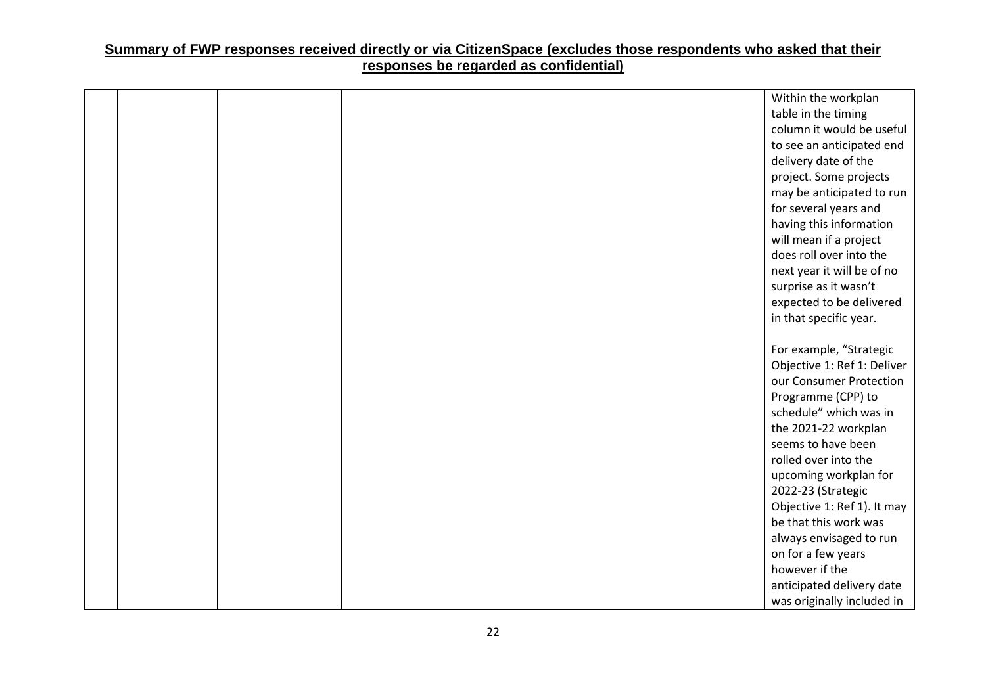|  |  | Within the workplan         |
|--|--|-----------------------------|
|  |  | table in the timing         |
|  |  | column it would be useful   |
|  |  | to see an anticipated end   |
|  |  | delivery date of the        |
|  |  | project. Some projects      |
|  |  | may be anticipated to run   |
|  |  | for several years and       |
|  |  | having this information     |
|  |  | will mean if a project      |
|  |  | does roll over into the     |
|  |  | next year it will be of no  |
|  |  | surprise as it wasn't       |
|  |  | expected to be delivered    |
|  |  | in that specific year.      |
|  |  |                             |
|  |  | For example, "Strategic     |
|  |  | Objective 1: Ref 1: Deliver |
|  |  | our Consumer Protection     |
|  |  | Programme (CPP) to          |
|  |  | schedule" which was in      |
|  |  | the 2021-22 workplan        |
|  |  | seems to have been          |
|  |  | rolled over into the        |
|  |  | upcoming workplan for       |
|  |  | 2022-23 (Strategic          |
|  |  | Objective 1: Ref 1). It may |
|  |  | be that this work was       |
|  |  | always envisaged to run     |
|  |  | on for a few years          |
|  |  | however if the              |
|  |  | anticipated delivery date   |
|  |  | was originally included in  |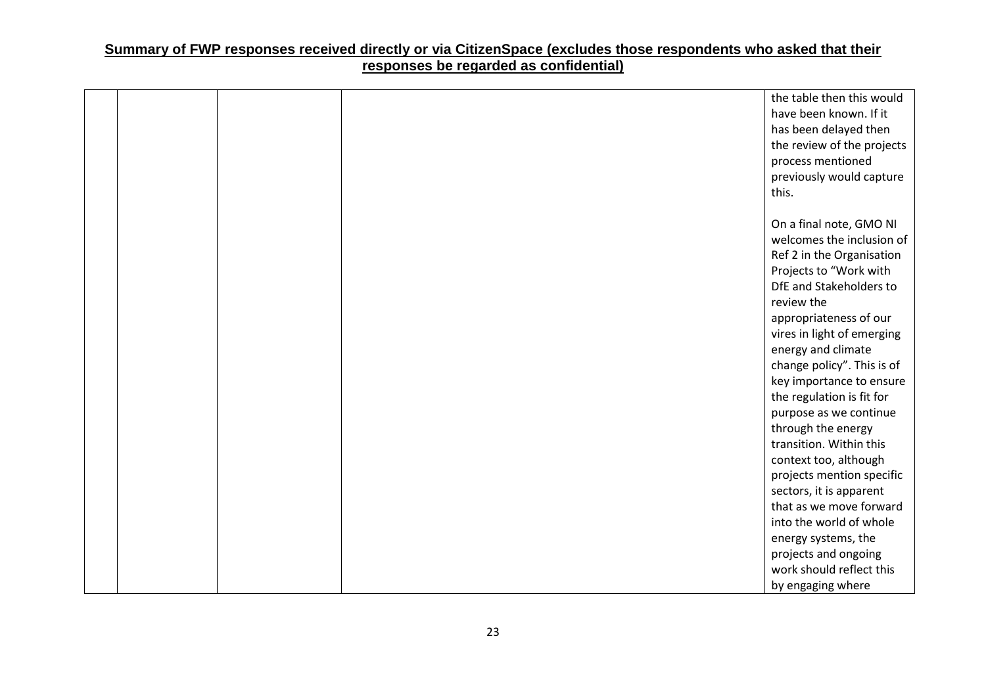|  |  | the table then this would  |
|--|--|----------------------------|
|  |  | have been known. If it     |
|  |  | has been delayed then      |
|  |  | the review of the projects |
|  |  | process mentioned          |
|  |  | previously would capture   |
|  |  | this.                      |
|  |  |                            |
|  |  | On a final note, GMO NI    |
|  |  | welcomes the inclusion of  |
|  |  | Ref 2 in the Organisation  |
|  |  | Projects to "Work with     |
|  |  | DfE and Stakeholders to    |
|  |  | review the                 |
|  |  | appropriateness of our     |
|  |  | vires in light of emerging |
|  |  | energy and climate         |
|  |  | change policy". This is of |
|  |  | key importance to ensure   |
|  |  | the regulation is fit for  |
|  |  | purpose as we continue     |
|  |  | through the energy         |
|  |  | transition. Within this    |
|  |  | context too, although      |
|  |  | projects mention specific  |
|  |  | sectors, it is apparent    |
|  |  | that as we move forward    |
|  |  | into the world of whole    |
|  |  | energy systems, the        |
|  |  | projects and ongoing       |
|  |  | work should reflect this   |
|  |  | by engaging where          |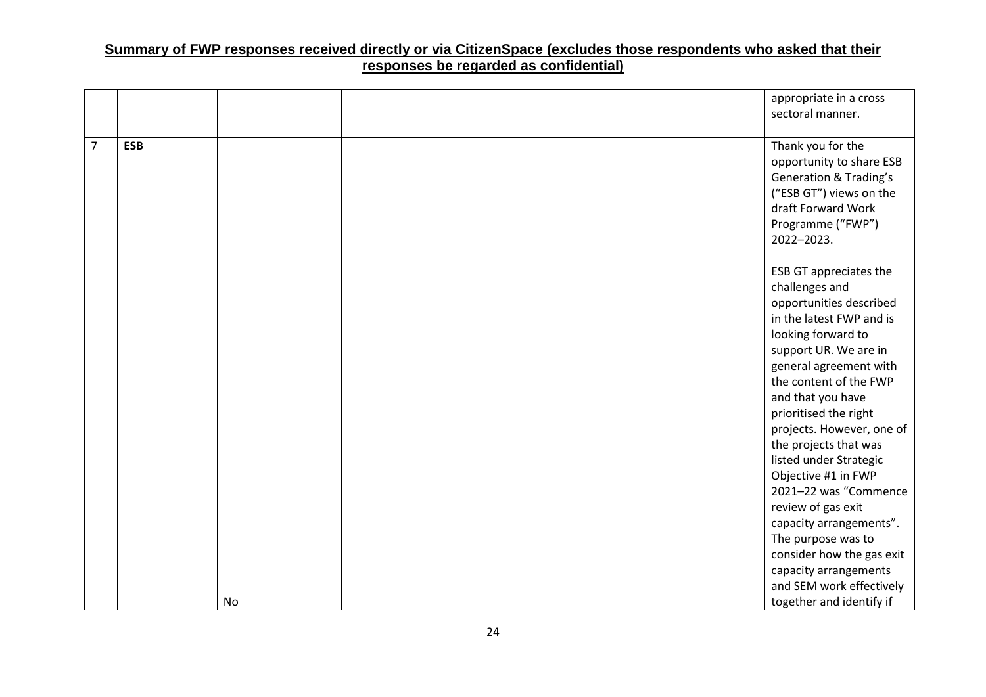|                |            |    | appropriate in a cross            |
|----------------|------------|----|-----------------------------------|
|                |            |    | sectoral manner.                  |
|                |            |    |                                   |
| $\overline{7}$ | <b>ESB</b> |    | Thank you for the                 |
|                |            |    | opportunity to share ESB          |
|                |            |    | <b>Generation &amp; Trading's</b> |
|                |            |    | ("ESB GT") views on the           |
|                |            |    | draft Forward Work                |
|                |            |    | Programme ("FWP")                 |
|                |            |    | 2022-2023.                        |
|                |            |    |                                   |
|                |            |    | ESB GT appreciates the            |
|                |            |    | challenges and                    |
|                |            |    | opportunities described           |
|                |            |    | in the latest FWP and is          |
|                |            |    | looking forward to                |
|                |            |    | support UR. We are in             |
|                |            |    | general agreement with            |
|                |            |    | the content of the FWP            |
|                |            |    | and that you have                 |
|                |            |    | prioritised the right             |
|                |            |    | projects. However, one of         |
|                |            |    | the projects that was             |
|                |            |    | listed under Strategic            |
|                |            |    | Objective #1 in FWP               |
|                |            |    | 2021-22 was "Commence             |
|                |            |    | review of gas exit                |
|                |            |    | capacity arrangements".           |
|                |            |    | The purpose was to                |
|                |            |    | consider how the gas exit         |
|                |            |    | capacity arrangements             |
|                |            |    | and SEM work effectively          |
|                |            | No | together and identify if          |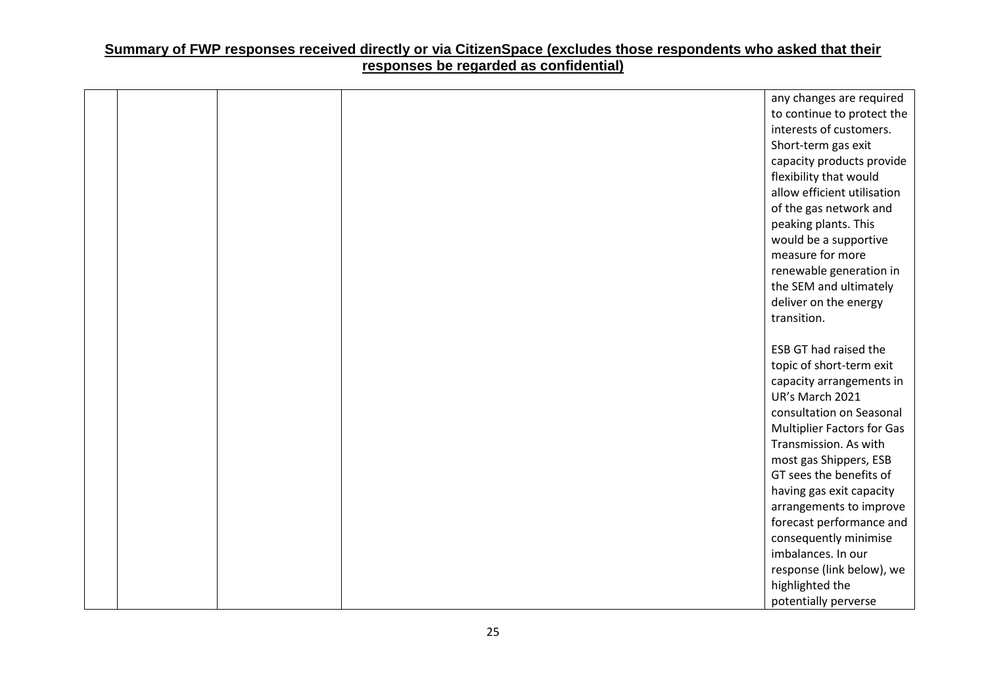|  |  | any changes are required          |
|--|--|-----------------------------------|
|  |  | to continue to protect the        |
|  |  | interests of customers.           |
|  |  | Short-term gas exit               |
|  |  | capacity products provide         |
|  |  | flexibility that would            |
|  |  | allow efficient utilisation       |
|  |  | of the gas network and            |
|  |  | peaking plants. This              |
|  |  | would be a supportive             |
|  |  | measure for more                  |
|  |  | renewable generation in           |
|  |  | the SEM and ultimately            |
|  |  | deliver on the energy             |
|  |  | transition.                       |
|  |  |                                   |
|  |  | <b>ESB GT had raised the</b>      |
|  |  | topic of short-term exit          |
|  |  | capacity arrangements in          |
|  |  | UR's March 2021                   |
|  |  | consultation on Seasonal          |
|  |  | <b>Multiplier Factors for Gas</b> |
|  |  | Transmission. As with             |
|  |  | most gas Shippers, ESB            |
|  |  | GT sees the benefits of           |
|  |  | having gas exit capacity          |
|  |  | arrangements to improve           |
|  |  | forecast performance and          |
|  |  | consequently minimise             |
|  |  | imbalances. In our                |
|  |  | response (link below), we         |
|  |  | highlighted the                   |
|  |  | potentially perverse              |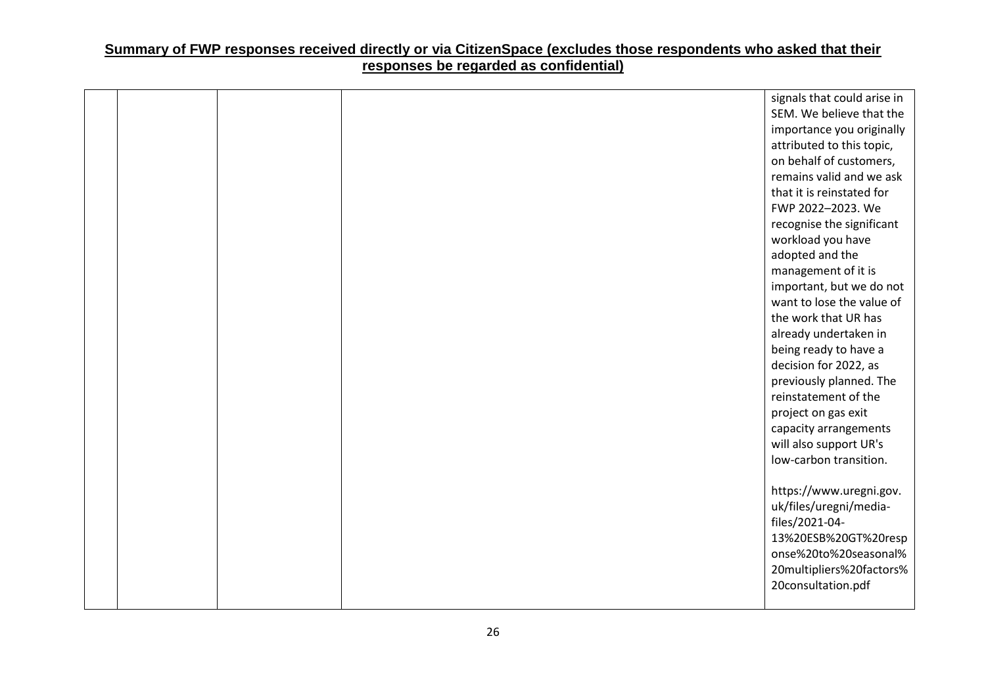|  |  | signals that could arise in |
|--|--|-----------------------------|
|  |  | SEM. We believe that the    |
|  |  | importance you originally   |
|  |  | attributed to this topic,   |
|  |  | on behalf of customers,     |
|  |  | remains valid and we ask    |
|  |  | that it is reinstated for   |
|  |  | FWP 2022-2023. We           |
|  |  | recognise the significant   |
|  |  | workload you have           |
|  |  | adopted and the             |
|  |  | management of it is         |
|  |  | important, but we do not    |
|  |  | want to lose the value of   |
|  |  | the work that UR has        |
|  |  | already undertaken in       |
|  |  | being ready to have a       |
|  |  | decision for 2022, as       |
|  |  | previously planned. The     |
|  |  | reinstatement of the        |
|  |  | project on gas exit         |
|  |  | capacity arrangements       |
|  |  | will also support UR's      |
|  |  | low-carbon transition.      |
|  |  |                             |
|  |  | https://www.uregni.gov.     |
|  |  | uk/files/uregni/media-      |
|  |  | files/2021-04-              |
|  |  | 13%20ESB%20GT%20resp        |
|  |  | onse%20to%20seasonal%       |
|  |  | 20multipliers%20factors%    |
|  |  | 20consultation.pdf          |
|  |  |                             |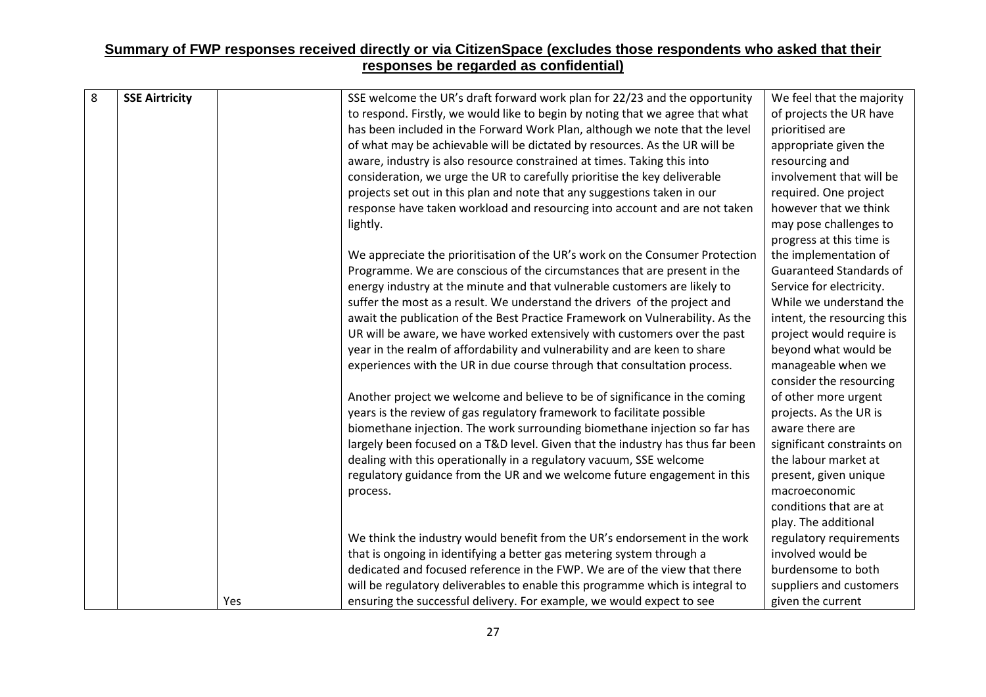| 8 | <b>SSE Airtricity</b> | SSE welcome the UR's draft forward work plan for 22/23 and the opportunity     | We feel that the majority   |
|---|-----------------------|--------------------------------------------------------------------------------|-----------------------------|
|   |                       | to respond. Firstly, we would like to begin by noting that we agree that what  | of projects the UR have     |
|   |                       | has been included in the Forward Work Plan, although we note that the level    | prioritised are             |
|   |                       | of what may be achievable will be dictated by resources. As the UR will be     | appropriate given the       |
|   |                       | aware, industry is also resource constrained at times. Taking this into        | resourcing and              |
|   |                       | consideration, we urge the UR to carefully prioritise the key deliverable      | involvement that will be    |
|   |                       | projects set out in this plan and note that any suggestions taken in our       | required. One project       |
|   |                       | response have taken workload and resourcing into account and are not taken     | however that we think       |
|   |                       | lightly.                                                                       | may pose challenges to      |
|   |                       |                                                                                | progress at this time is    |
|   |                       | We appreciate the prioritisation of the UR's work on the Consumer Protection   | the implementation of       |
|   |                       | Programme. We are conscious of the circumstances that are present in the       | Guaranteed Standards of     |
|   |                       | energy industry at the minute and that vulnerable customers are likely to      | Service for electricity.    |
|   |                       | suffer the most as a result. We understand the drivers of the project and      | While we understand the     |
|   |                       | await the publication of the Best Practice Framework on Vulnerability. As the  | intent, the resourcing this |
|   |                       | UR will be aware, we have worked extensively with customers over the past      | project would require is    |
|   |                       | year in the realm of affordability and vulnerability and are keen to share     | beyond what would be        |
|   |                       | experiences with the UR in due course through that consultation process.       | manageable when we          |
|   |                       |                                                                                | consider the resourcing     |
|   |                       | Another project we welcome and believe to be of significance in the coming     | of other more urgent        |
|   |                       | years is the review of gas regulatory framework to facilitate possible         | projects. As the UR is      |
|   |                       | biomethane injection. The work surrounding biomethane injection so far has     | aware there are             |
|   |                       | largely been focused on a T&D level. Given that the industry has thus far been | significant constraints on  |
|   |                       | dealing with this operationally in a regulatory vacuum, SSE welcome            | the labour market at        |
|   |                       | regulatory guidance from the UR and we welcome future engagement in this       | present, given unique       |
|   |                       | process.                                                                       | macroeconomic               |
|   |                       |                                                                                | conditions that are at      |
|   |                       |                                                                                | play. The additional        |
|   |                       | We think the industry would benefit from the UR's endorsement in the work      | regulatory requirements     |
|   |                       | that is ongoing in identifying a better gas metering system through a          | involved would be           |
|   |                       | dedicated and focused reference in the FWP. We are of the view that there      | burdensome to both          |
|   |                       | will be regulatory deliverables to enable this programme which is integral to  | suppliers and customers     |
|   | Yes                   | ensuring the successful delivery. For example, we would expect to see          | given the current           |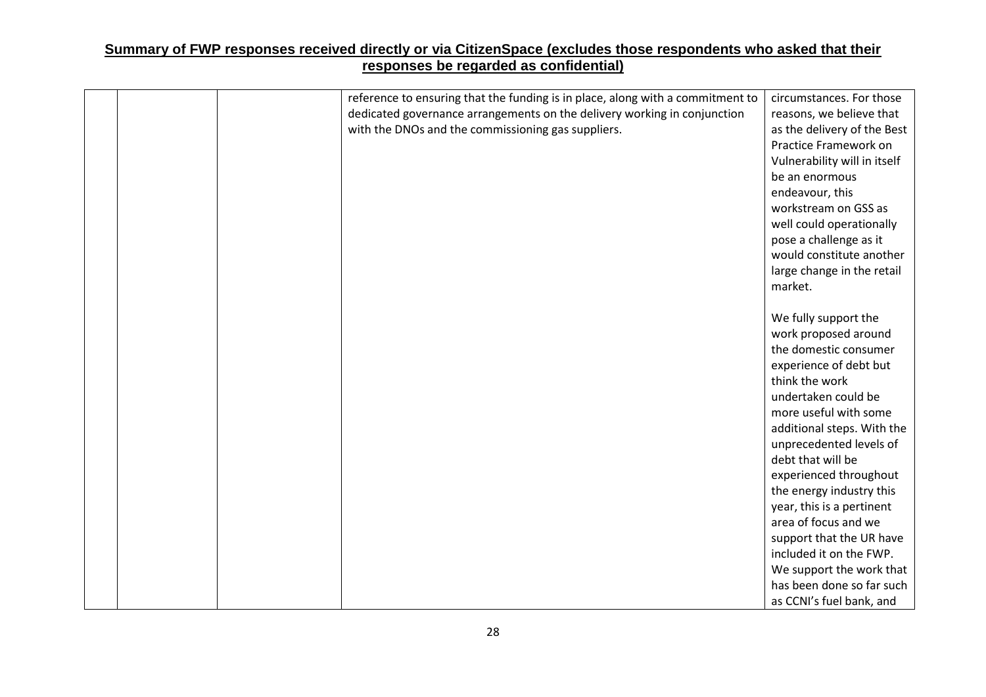|  | reference to ensuring that the funding is in place, along with a commitment to | circumstances. For those                              |
|--|--------------------------------------------------------------------------------|-------------------------------------------------------|
|  | dedicated governance arrangements on the delivery working in conjunction       | reasons, we believe that                              |
|  | with the DNOs and the commissioning gas suppliers.                             | as the delivery of the Best                           |
|  |                                                                                | Practice Framework on                                 |
|  |                                                                                | Vulnerability will in itself                          |
|  |                                                                                | be an enormous                                        |
|  |                                                                                | endeavour, this                                       |
|  |                                                                                | workstream on GSS as                                  |
|  |                                                                                | well could operationally                              |
|  |                                                                                | pose a challenge as it                                |
|  |                                                                                | would constitute another                              |
|  |                                                                                | large change in the retail                            |
|  |                                                                                | market.                                               |
|  |                                                                                |                                                       |
|  |                                                                                | We fully support the                                  |
|  |                                                                                | work proposed around                                  |
|  |                                                                                | the domestic consumer                                 |
|  |                                                                                | experience of debt but                                |
|  |                                                                                | think the work                                        |
|  |                                                                                | undertaken could be                                   |
|  |                                                                                | more useful with some                                 |
|  |                                                                                | additional steps. With the                            |
|  |                                                                                | unprecedented levels of<br>debt that will be          |
|  |                                                                                |                                                       |
|  |                                                                                | experienced throughout                                |
|  |                                                                                | the energy industry this<br>year, this is a pertinent |
|  |                                                                                | area of focus and we                                  |
|  |                                                                                | support that the UR have                              |
|  |                                                                                | included it on the FWP.                               |
|  |                                                                                | We support the work that                              |
|  |                                                                                | has been done so far such                             |
|  |                                                                                | as CCNI's fuel bank, and                              |
|  |                                                                                |                                                       |